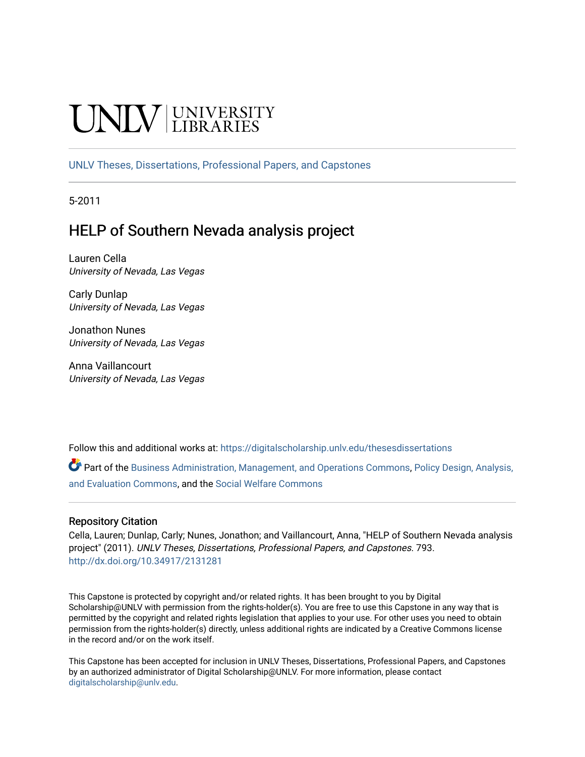# **INIVERSITY**

[UNLV Theses, Dissertations, Professional Papers, and Capstones](https://digitalscholarship.unlv.edu/thesesdissertations)

5-2011

## HELP of Southern Nevada analysis project

Lauren Cella University of Nevada, Las Vegas

Carly Dunlap University of Nevada, Las Vegas

Jonathon Nunes University of Nevada, Las Vegas

Anna Vaillancourt University of Nevada, Las Vegas

Follow this and additional works at: [https://digitalscholarship.unlv.edu/thesesdissertations](https://digitalscholarship.unlv.edu/thesesdissertations?utm_source=digitalscholarship.unlv.edu%2Fthesesdissertations%2F793&utm_medium=PDF&utm_campaign=PDFCoverPages)

Part of the [Business Administration, Management, and Operations Commons](http://network.bepress.com/hgg/discipline/623?utm_source=digitalscholarship.unlv.edu%2Fthesesdissertations%2F793&utm_medium=PDF&utm_campaign=PDFCoverPages), [Policy Design, Analysis,](http://network.bepress.com/hgg/discipline/1032?utm_source=digitalscholarship.unlv.edu%2Fthesesdissertations%2F793&utm_medium=PDF&utm_campaign=PDFCoverPages) [and Evaluation Commons,](http://network.bepress.com/hgg/discipline/1032?utm_source=digitalscholarship.unlv.edu%2Fthesesdissertations%2F793&utm_medium=PDF&utm_campaign=PDFCoverPages) and the [Social Welfare Commons](http://network.bepress.com/hgg/discipline/401?utm_source=digitalscholarship.unlv.edu%2Fthesesdissertations%2F793&utm_medium=PDF&utm_campaign=PDFCoverPages) 

#### Repository Citation

Cella, Lauren; Dunlap, Carly; Nunes, Jonathon; and Vaillancourt, Anna, "HELP of Southern Nevada analysis project" (2011). UNLV Theses, Dissertations, Professional Papers, and Capstones. 793. <http://dx.doi.org/10.34917/2131281>

This Capstone is protected by copyright and/or related rights. It has been brought to you by Digital Scholarship@UNLV with permission from the rights-holder(s). You are free to use this Capstone in any way that is permitted by the copyright and related rights legislation that applies to your use. For other uses you need to obtain permission from the rights-holder(s) directly, unless additional rights are indicated by a Creative Commons license in the record and/or on the work itself.

This Capstone has been accepted for inclusion in UNLV Theses, Dissertations, Professional Papers, and Capstones by an authorized administrator of Digital Scholarship@UNLV. For more information, please contact [digitalscholarship@unlv.edu](mailto:digitalscholarship@unlv.edu).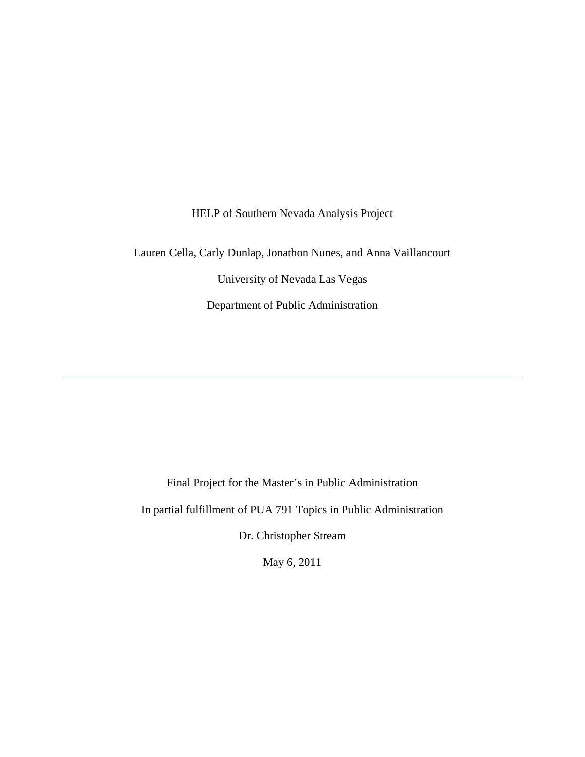HELP of Southern Nevada Analysis Project

Lauren Cella, Carly Dunlap, Jonathon Nunes, and Anna Vaillancourt

University of Nevada Las Vegas

Department of Public Administration

Final Project for the Master's in Public Administration

In partial fulfillment of PUA 791 Topics in Public Administration

Dr. Christopher Stream

May 6, 2011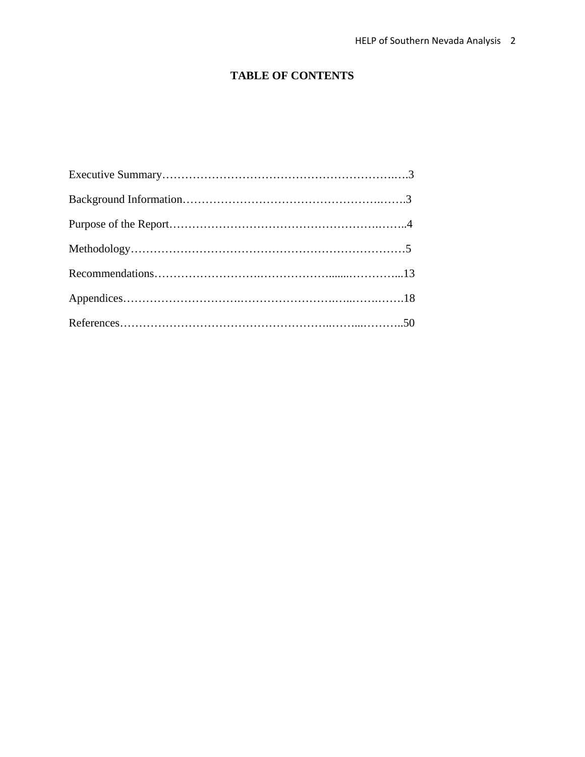## **TABLE OF CONTENTS**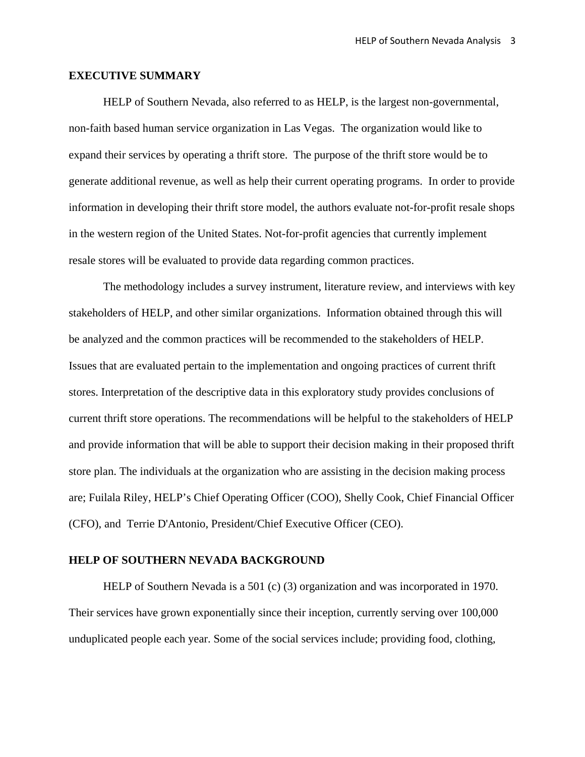#### **EXECUTIVE SUMMARY**

HELP of Southern Nevada, also referred to as HELP, is the largest non-governmental, non-faith based human service organization in Las Vegas. The organization would like to expand their services by operating a thrift store. The purpose of the thrift store would be to generate additional revenue, as well as help their current operating programs. In order to provide information in developing their thrift store model, the authors evaluate not-for-profit resale shops in the western region of the United States. Not-for-profit agencies that currently implement resale stores will be evaluated to provide data regarding common practices.

 The methodology includes a survey instrument, literature review, and interviews with key stakeholders of HELP, and other similar organizations. Information obtained through this will be analyzed and the common practices will be recommended to the stakeholders of HELP. Issues that are evaluated pertain to the implementation and ongoing practices of current thrift stores. Interpretation of the descriptive data in this exploratory study provides conclusions of current thrift store operations. The recommendations will be helpful to the stakeholders of HELP and provide information that will be able to support their decision making in their proposed thrift store plan. The individuals at the organization who are assisting in the decision making process are; Fuilala Riley, HELP's Chief Operating Officer (COO), Shelly Cook, Chief Financial Officer (CFO), and Terrie D'Antonio, President/Chief Executive Officer (CEO).

#### **HELP OF SOUTHERN NEVADA BACKGROUND**

HELP of Southern Nevada is a 501 (c) (3) organization and was incorporated in 1970. Their services have grown exponentially since their inception, currently serving over 100,000 unduplicated people each year. Some of the social services include; providing food, clothing,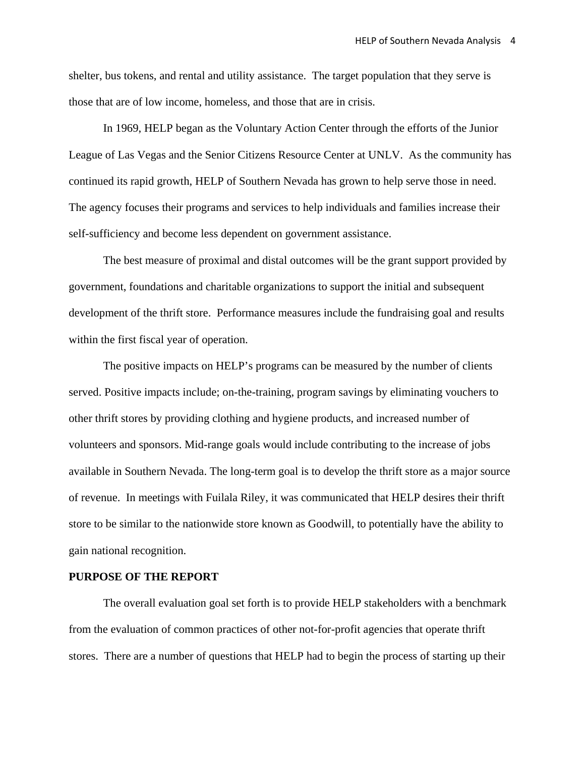shelter, bus tokens, and rental and utility assistance. The target population that they serve is those that are of low income, homeless, and those that are in crisis.

In 1969, HELP began as the Voluntary Action Center through the efforts of the Junior League of Las Vegas and the Senior Citizens Resource Center at UNLV. As the community has continued its rapid growth, HELP of Southern Nevada has grown to help serve those in need. The agency focuses their programs and services to help individuals and families increase their self-sufficiency and become less dependent on government assistance.

The best measure of proximal and distal outcomes will be the grant support provided by government, foundations and charitable organizations to support the initial and subsequent development of the thrift store. Performance measures include the fundraising goal and results within the first fiscal year of operation.

The positive impacts on HELP's programs can be measured by the number of clients served. Positive impacts include; on-the-training, program savings by eliminating vouchers to other thrift stores by providing clothing and hygiene products, and increased number of volunteers and sponsors. Mid-range goals would include contributing to the increase of jobs available in Southern Nevada. The long-term goal is to develop the thrift store as a major source of revenue. In meetings with Fuilala Riley, it was communicated that HELP desires their thrift store to be similar to the nationwide store known as Goodwill, to potentially have the ability to gain national recognition.

#### **PURPOSE OF THE REPORT**

The overall evaluation goal set forth is to provide HELP stakeholders with a benchmark from the evaluation of common practices of other not-for-profit agencies that operate thrift stores. There are a number of questions that HELP had to begin the process of starting up their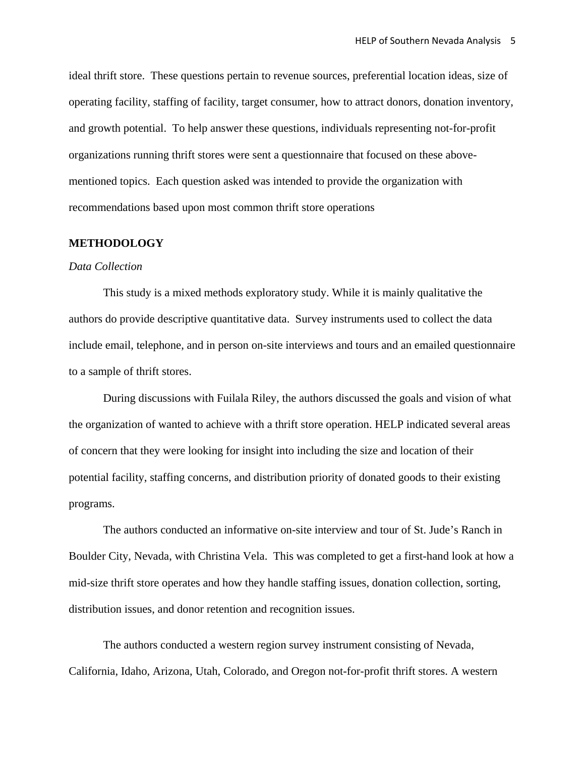ideal thrift store. These questions pertain to revenue sources, preferential location ideas, size of operating facility, staffing of facility, target consumer, how to attract donors, donation inventory, and growth potential. To help answer these questions, individuals representing not-for-profit organizations running thrift stores were sent a questionnaire that focused on these abovementioned topics. Each question asked was intended to provide the organization with recommendations based upon most common thrift store operations

#### **METHODOLOGY**

#### *Data Collection*

This study is a mixed methods exploratory study. While it is mainly qualitative the authors do provide descriptive quantitative data. Survey instruments used to collect the data include email, telephone, and in person on-site interviews and tours and an emailed questionnaire to a sample of thrift stores.

 During discussions with Fuilala Riley, the authors discussed the goals and vision of what the organization of wanted to achieve with a thrift store operation. HELP indicated several areas of concern that they were looking for insight into including the size and location of their potential facility, staffing concerns, and distribution priority of donated goods to their existing programs.

The authors conducted an informative on-site interview and tour of St. Jude's Ranch in Boulder City, Nevada, with Christina Vela. This was completed to get a first-hand look at how a mid-size thrift store operates and how they handle staffing issues, donation collection, sorting, distribution issues, and donor retention and recognition issues.

The authors conducted a western region survey instrument consisting of Nevada, California, Idaho, Arizona, Utah, Colorado, and Oregon not-for-profit thrift stores. A western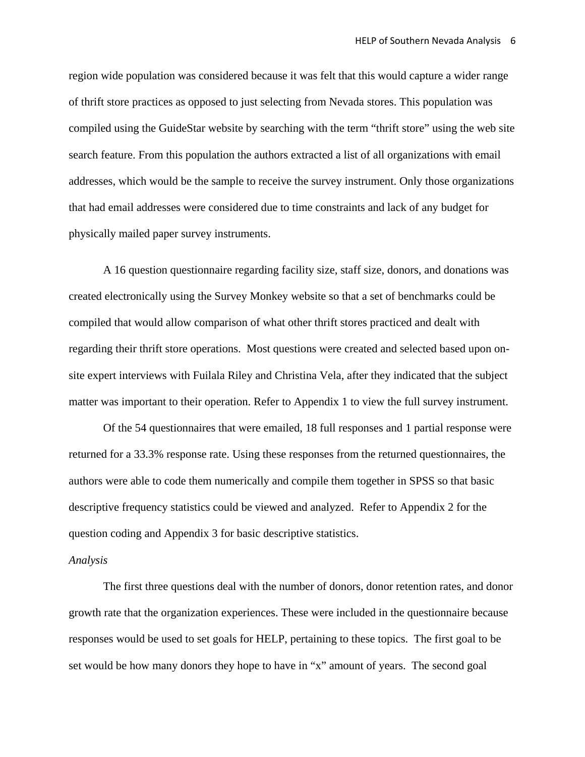region wide population was considered because it was felt that this would capture a wider range of thrift store practices as opposed to just selecting from Nevada stores. This population was compiled using the GuideStar website by searching with the term "thrift store" using the web site search feature. From this population the authors extracted a list of all organizations with email addresses, which would be the sample to receive the survey instrument. Only those organizations that had email addresses were considered due to time constraints and lack of any budget for physically mailed paper survey instruments.

A 16 question questionnaire regarding facility size, staff size, donors, and donations was created electronically using the Survey Monkey website so that a set of benchmarks could be compiled that would allow comparison of what other thrift stores practiced and dealt with regarding their thrift store operations. Most questions were created and selected based upon onsite expert interviews with Fuilala Riley and Christina Vela, after they indicated that the subject matter was important to their operation. Refer to Appendix 1 to view the full survey instrument.

Of the 54 questionnaires that were emailed, 18 full responses and 1 partial response were returned for a 33.3% response rate. Using these responses from the returned questionnaires, the authors were able to code them numerically and compile them together in SPSS so that basic descriptive frequency statistics could be viewed and analyzed. Refer to Appendix 2 for the question coding and Appendix 3 for basic descriptive statistics.

#### *Analysis*

The first three questions deal with the number of donors, donor retention rates, and donor growth rate that the organization experiences. These were included in the questionnaire because responses would be used to set goals for HELP, pertaining to these topics. The first goal to be set would be how many donors they hope to have in "x" amount of years. The second goal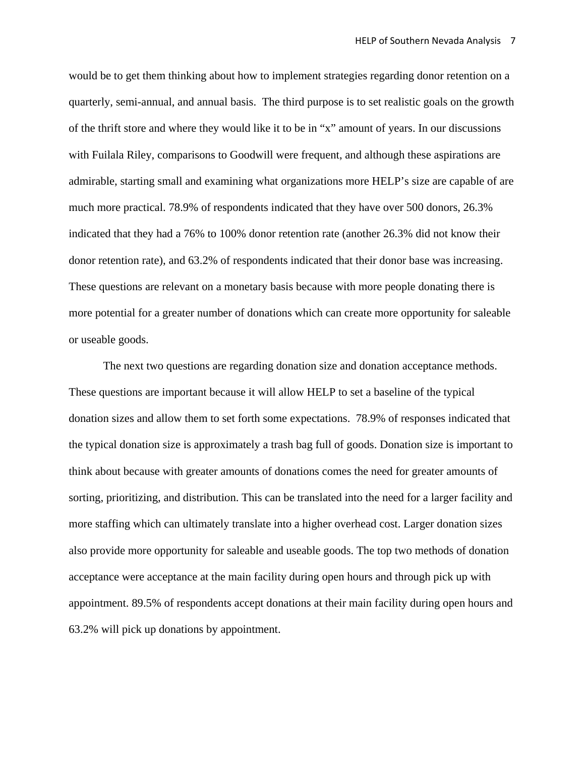would be to get them thinking about how to implement strategies regarding donor retention on a quarterly, semi-annual, and annual basis. The third purpose is to set realistic goals on the growth of the thrift store and where they would like it to be in "x" amount of years. In our discussions with Fuilala Riley, comparisons to Goodwill were frequent, and although these aspirations are admirable, starting small and examining what organizations more HELP's size are capable of are much more practical. 78.9% of respondents indicated that they have over 500 donors, 26.3% indicated that they had a 76% to 100% donor retention rate (another 26.3% did not know their donor retention rate), and 63.2% of respondents indicated that their donor base was increasing. These questions are relevant on a monetary basis because with more people donating there is more potential for a greater number of donations which can create more opportunity for saleable or useable goods.

The next two questions are regarding donation size and donation acceptance methods. These questions are important because it will allow HELP to set a baseline of the typical donation sizes and allow them to set forth some expectations. 78.9% of responses indicated that the typical donation size is approximately a trash bag full of goods. Donation size is important to think about because with greater amounts of donations comes the need for greater amounts of sorting, prioritizing, and distribution. This can be translated into the need for a larger facility and more staffing which can ultimately translate into a higher overhead cost. Larger donation sizes also provide more opportunity for saleable and useable goods. The top two methods of donation acceptance were acceptance at the main facility during open hours and through pick up with appointment. 89.5% of respondents accept donations at their main facility during open hours and 63.2% will pick up donations by appointment.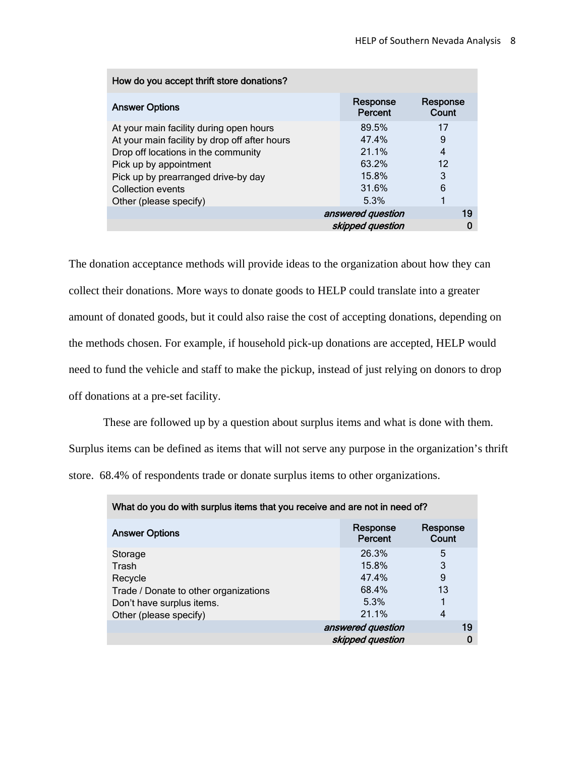| How do you accept thrift store donations?     |                     |                   |  |  |  |  |  |  |  |  |
|-----------------------------------------------|---------------------|-------------------|--|--|--|--|--|--|--|--|
| <b>Answer Options</b>                         | Response<br>Percent | Response<br>Count |  |  |  |  |  |  |  |  |
| At your main facility during open hours       | 89.5%               | 17                |  |  |  |  |  |  |  |  |
| At your main facility by drop off after hours | 47.4%               | 9                 |  |  |  |  |  |  |  |  |
| Drop off locations in the community           | 21.1%               | 4                 |  |  |  |  |  |  |  |  |
| Pick up by appointment                        | 63.2%               | 12                |  |  |  |  |  |  |  |  |
| Pick up by prearranged drive-by day           | 15.8%               | 3                 |  |  |  |  |  |  |  |  |
| Collection events                             | 31.6%               | 6                 |  |  |  |  |  |  |  |  |
| Other (please specify)                        | 5.3%                |                   |  |  |  |  |  |  |  |  |
|                                               | answered question   | 19                |  |  |  |  |  |  |  |  |
|                                               | skipped question    |                   |  |  |  |  |  |  |  |  |

The donation acceptance methods will provide ideas to the organization about how they can collect their donations. More ways to donate goods to HELP could translate into a greater amount of donated goods, but it could also raise the cost of accepting donations, depending on the methods chosen. For example, if household pick-up donations are accepted, HELP would need to fund the vehicle and staff to make the pickup, instead of just relying on donors to drop off donations at a pre-set facility.

These are followed up by a question about surplus items and what is done with them.

Surplus items can be defined as items that will not serve any purpose in the organization's thrift store. 68.4% of respondents trade or donate surplus items to other organizations.

| What do you do with surplus items that you receive and are not in need of? |                     |                   |  |  |  |  |  |  |  |  |
|----------------------------------------------------------------------------|---------------------|-------------------|--|--|--|--|--|--|--|--|
| <b>Answer Options</b>                                                      | Response<br>Percent | Response<br>Count |  |  |  |  |  |  |  |  |
| Storage                                                                    | 26.3%               | 5                 |  |  |  |  |  |  |  |  |
| Trash                                                                      | 15.8%               | 3                 |  |  |  |  |  |  |  |  |
| Recycle                                                                    | 47.4%               | 9                 |  |  |  |  |  |  |  |  |
| Trade / Donate to other organizations                                      | 68.4%               | 13                |  |  |  |  |  |  |  |  |
| Don't have surplus items.                                                  | 5.3%                |                   |  |  |  |  |  |  |  |  |
| Other (please specify)                                                     | 21.1%               | 4                 |  |  |  |  |  |  |  |  |
| answered question                                                          |                     |                   |  |  |  |  |  |  |  |  |
|                                                                            | skipped question    |                   |  |  |  |  |  |  |  |  |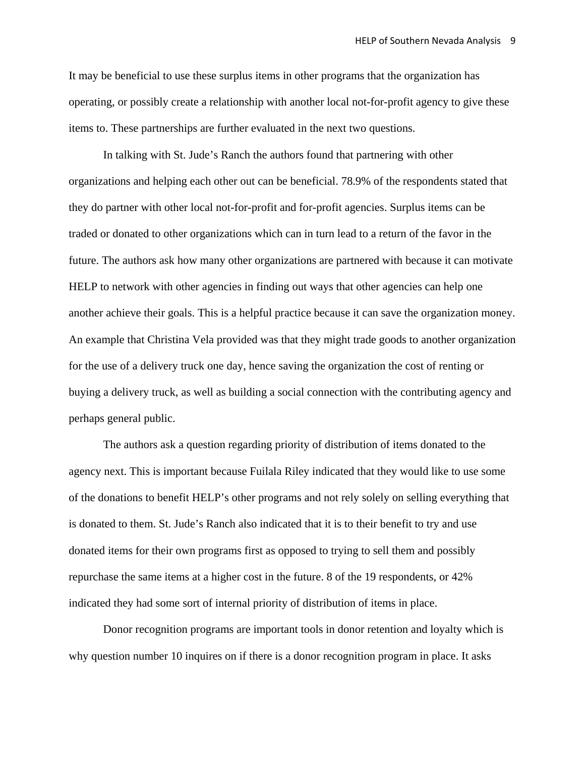It may be beneficial to use these surplus items in other programs that the organization has operating, or possibly create a relationship with another local not-for-profit agency to give these items to. These partnerships are further evaluated in the next two questions.

In talking with St. Jude's Ranch the authors found that partnering with other organizations and helping each other out can be beneficial. 78.9% of the respondents stated that they do partner with other local not-for-profit and for-profit agencies. Surplus items can be traded or donated to other organizations which can in turn lead to a return of the favor in the future. The authors ask how many other organizations are partnered with because it can motivate HELP to network with other agencies in finding out ways that other agencies can help one another achieve their goals. This is a helpful practice because it can save the organization money. An example that Christina Vela provided was that they might trade goods to another organization for the use of a delivery truck one day, hence saving the organization the cost of renting or buying a delivery truck, as well as building a social connection with the contributing agency and perhaps general public.

The authors ask a question regarding priority of distribution of items donated to the agency next. This is important because Fuilala Riley indicated that they would like to use some of the donations to benefit HELP's other programs and not rely solely on selling everything that is donated to them. St. Jude's Ranch also indicated that it is to their benefit to try and use donated items for their own programs first as opposed to trying to sell them and possibly repurchase the same items at a higher cost in the future. 8 of the 19 respondents, or 42% indicated they had some sort of internal priority of distribution of items in place.

Donor recognition programs are important tools in donor retention and loyalty which is why question number 10 inquires on if there is a donor recognition program in place. It asks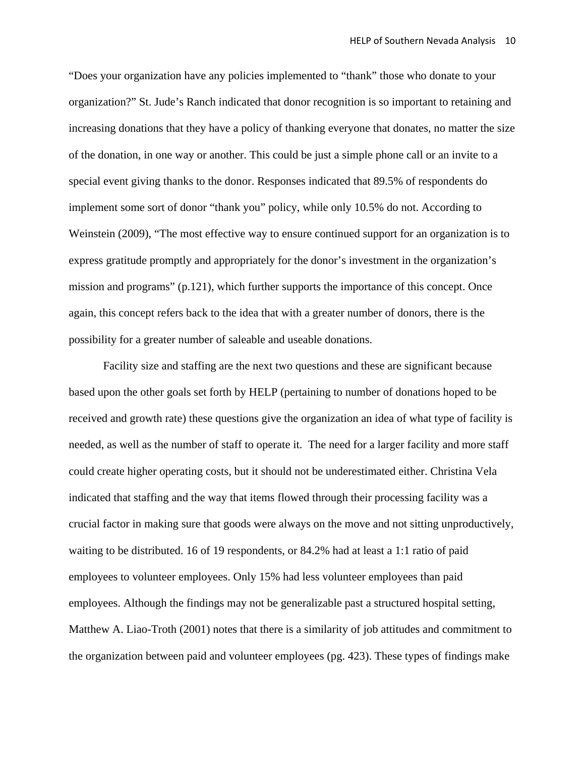"Does your organization have any policies implemented to "thank" those who donate to your organization?" St. Jude's Ranch indicated that donor recognition is so important to retaining and increasing donations that they have a policy of thanking everyone that donates, no matter the size of the donation, in one way or another. This could be just a simple phone call or an invite to a special event giving thanks to the donor. Responses indicated that 89.5% of respondents do implement some sort of donor "thank you" policy, while only 10.5% do not. According to Weinstein (2009), "The most effective way to ensure continued support for an organization is to express gratitude promptly and appropriately for the donor's investment in the organization's mission and programs" (p.121), which further supports the importance of this concept. Once again, this concept refers back to the idea that with a greater number of donors, there is the possibility for a greater number of saleable and useable donations.

Facility size and staffing are the next two questions and these are significant because based upon the other goals set forth by HELP (pertaining to number of donations hoped to be received and growth rate) these questions give the organization an idea of what type of facility is needed, as well as the number of staff to operate it. The need for a larger facility and more staff could create higher operating costs, but it should not be underestimated either. Christina Vela indicated that staffing and the way that items flowed through their processing facility was a crucial factor in making sure that goods were always on the move and not sitting unproductively, waiting to be distributed. 16 of 19 respondents, or 84.2% had at least a 1:1 ratio of paid employees to volunteer employees. Only 15% had less volunteer employees than paid employees. Although the findings may not be generalizable past a structured hospital setting, Matthew A. Liao-Troth (2001) notes that there is a similarity of job attitudes and commitment to the organization between paid and volunteer employees (pg. 423). These types of findings make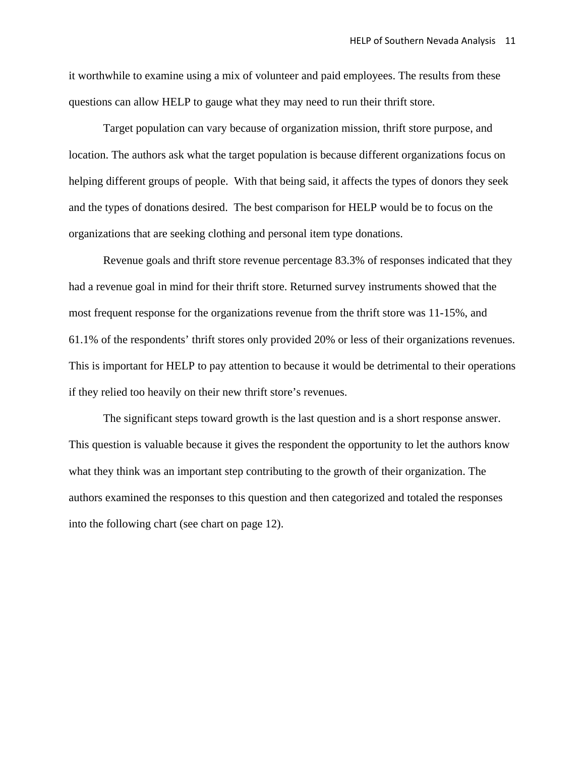it worthwhile to examine using a mix of volunteer and paid employees. The results from these questions can allow HELP to gauge what they may need to run their thrift store.

Target population can vary because of organization mission, thrift store purpose, and location. The authors ask what the target population is because different organizations focus on helping different groups of people. With that being said, it affects the types of donors they seek and the types of donations desired. The best comparison for HELP would be to focus on the organizations that are seeking clothing and personal item type donations.

Revenue goals and thrift store revenue percentage 83.3% of responses indicated that they had a revenue goal in mind for their thrift store. Returned survey instruments showed that the most frequent response for the organizations revenue from the thrift store was 11-15%, and 61.1% of the respondents' thrift stores only provided 20% or less of their organizations revenues. This is important for HELP to pay attention to because it would be detrimental to their operations if they relied too heavily on their new thrift store's revenues.

The significant steps toward growth is the last question and is a short response answer. This question is valuable because it gives the respondent the opportunity to let the authors know what they think was an important step contributing to the growth of their organization. The authors examined the responses to this question and then categorized and totaled the responses into the following chart (see chart on page 12).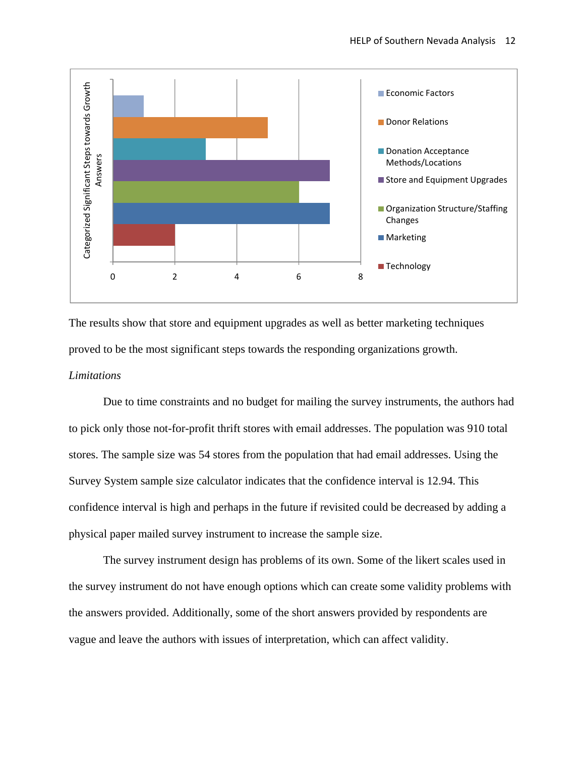

The results show that store and equipment upgrades as well as better marketing techniques proved to be the most significant steps towards the responding organizations growth.

#### *Limitations*

 Due to time constraints and no budget for mailing the survey instruments, the authors had to pick only those not-for-profit thrift stores with email addresses. The population was 910 total stores. The sample size was 54 stores from the population that had email addresses. Using the Survey System sample size calculator indicates that the confidence interval is 12.94. This confidence interval is high and perhaps in the future if revisited could be decreased by adding a physical paper mailed survey instrument to increase the sample size.

 The survey instrument design has problems of its own. Some of the likert scales used in the survey instrument do not have enough options which can create some validity problems with the answers provided. Additionally, some of the short answers provided by respondents are vague and leave the authors with issues of interpretation, which can affect validity.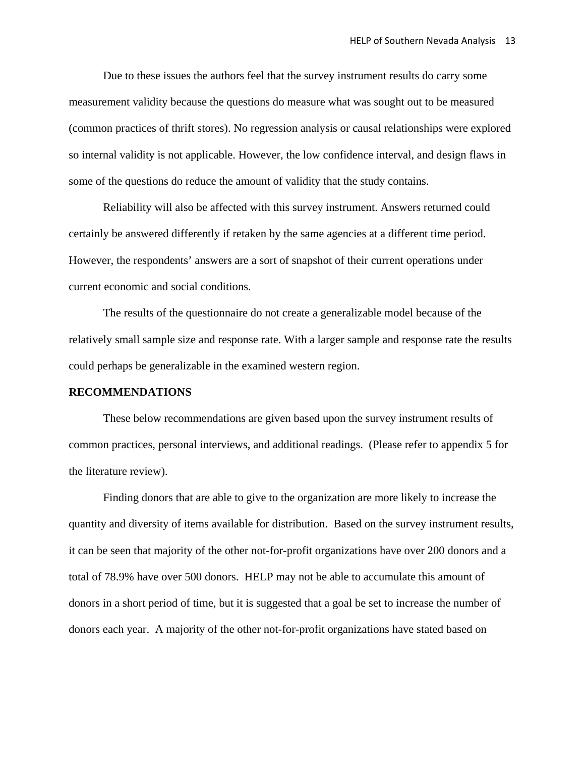Due to these issues the authors feel that the survey instrument results do carry some measurement validity because the questions do measure what was sought out to be measured (common practices of thrift stores). No regression analysis or causal relationships were explored so internal validity is not applicable. However, the low confidence interval, and design flaws in some of the questions do reduce the amount of validity that the study contains.

Reliability will also be affected with this survey instrument. Answers returned could certainly be answered differently if retaken by the same agencies at a different time period. However, the respondents' answers are a sort of snapshot of their current operations under current economic and social conditions.

The results of the questionnaire do not create a generalizable model because of the relatively small sample size and response rate. With a larger sample and response rate the results could perhaps be generalizable in the examined western region.

#### **RECOMMENDATIONS**

These below recommendations are given based upon the survey instrument results of common practices, personal interviews, and additional readings. (Please refer to appendix 5 for the literature review).

Finding donors that are able to give to the organization are more likely to increase the quantity and diversity of items available for distribution. Based on the survey instrument results, it can be seen that majority of the other not-for-profit organizations have over 200 donors and a total of 78.9% have over 500 donors. HELP may not be able to accumulate this amount of donors in a short period of time, but it is suggested that a goal be set to increase the number of donors each year. A majority of the other not-for-profit organizations have stated based on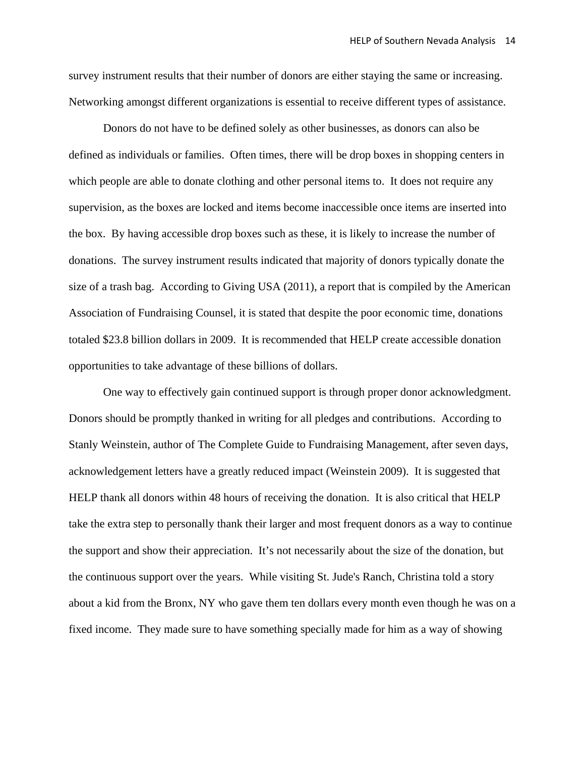survey instrument results that their number of donors are either staying the same or increasing. Networking amongst different organizations is essential to receive different types of assistance.

 Donors do not have to be defined solely as other businesses, as donors can also be defined as individuals or families. Often times, there will be drop boxes in shopping centers in which people are able to donate clothing and other personal items to. It does not require any supervision, as the boxes are locked and items become inaccessible once items are inserted into the box. By having accessible drop boxes such as these, it is likely to increase the number of donations. The survey instrument results indicated that majority of donors typically donate the size of a trash bag. According to Giving USA (2011), a report that is compiled by the American Association of Fundraising Counsel, it is stated that despite the poor economic time, donations totaled \$23.8 billion dollars in 2009. It is recommended that HELP create accessible donation opportunities to take advantage of these billions of dollars.

One way to effectively gain continued support is through proper donor acknowledgment. Donors should be promptly thanked in writing for all pledges and contributions. According to Stanly Weinstein, author of The Complete Guide to Fundraising Management, after seven days, acknowledgement letters have a greatly reduced impact (Weinstein 2009). It is suggested that HELP thank all donors within 48 hours of receiving the donation. It is also critical that HELP take the extra step to personally thank their larger and most frequent donors as a way to continue the support and show their appreciation. It's not necessarily about the size of the donation, but the continuous support over the years. While visiting St. Jude's Ranch, Christina told a story about a kid from the Bronx, NY who gave them ten dollars every month even though he was on a fixed income. They made sure to have something specially made for him as a way of showing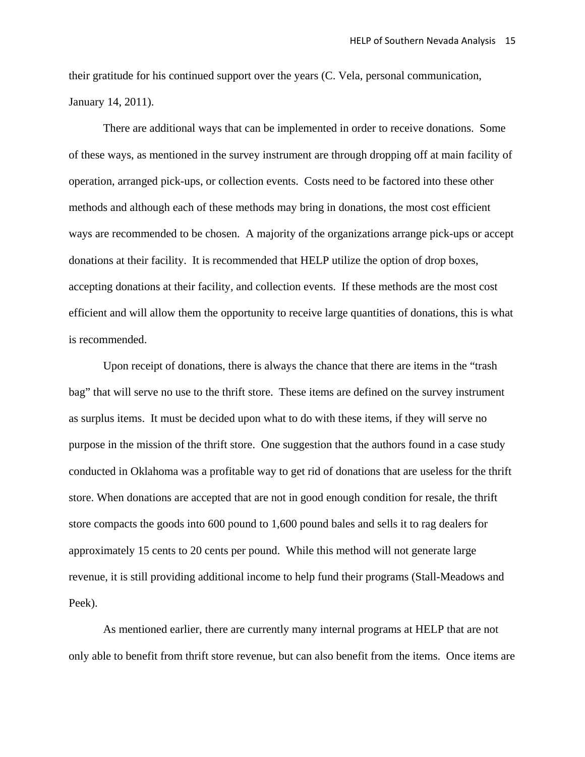their gratitude for his continued support over the years (C. Vela, personal communication, January 14, 2011).

 There are additional ways that can be implemented in order to receive donations. Some of these ways, as mentioned in the survey instrument are through dropping off at main facility of operation, arranged pick-ups, or collection events. Costs need to be factored into these other methods and although each of these methods may bring in donations, the most cost efficient ways are recommended to be chosen. A majority of the organizations arrange pick-ups or accept donations at their facility. It is recommended that HELP utilize the option of drop boxes, accepting donations at their facility, and collection events. If these methods are the most cost efficient and will allow them the opportunity to receive large quantities of donations, this is what is recommended.

Upon receipt of donations, there is always the chance that there are items in the "trash bag" that will serve no use to the thrift store. These items are defined on the survey instrument as surplus items. It must be decided upon what to do with these items, if they will serve no purpose in the mission of the thrift store. One suggestion that the authors found in a case study conducted in Oklahoma was a profitable way to get rid of donations that are useless for the thrift store. When donations are accepted that are not in good enough condition for resale, the thrift store compacts the goods into 600 pound to 1,600 pound bales and sells it to rag dealers for approximately 15 cents to 20 cents per pound. While this method will not generate large revenue, it is still providing additional income to help fund their programs (Stall-Meadows and Peek).

As mentioned earlier, there are currently many internal programs at HELP that are not only able to benefit from thrift store revenue, but can also benefit from the items. Once items are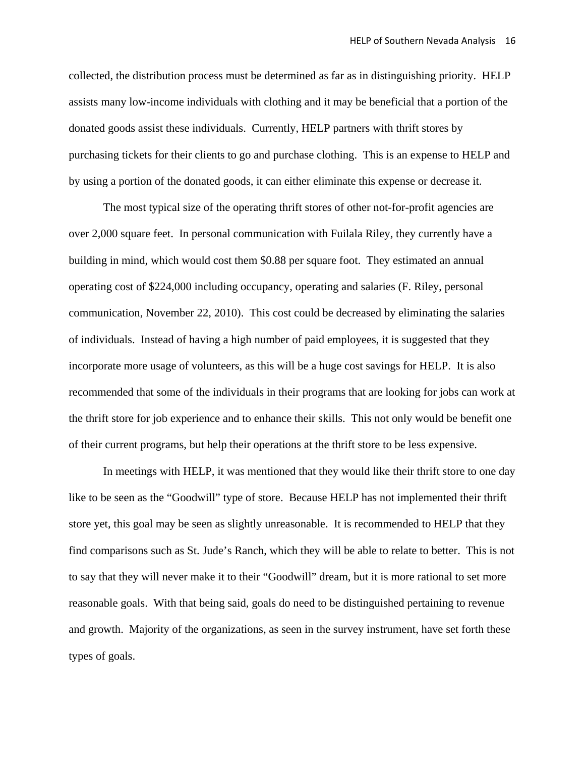collected, the distribution process must be determined as far as in distinguishing priority. HELP assists many low-income individuals with clothing and it may be beneficial that a portion of the donated goods assist these individuals. Currently, HELP partners with thrift stores by purchasing tickets for their clients to go and purchase clothing. This is an expense to HELP and by using a portion of the donated goods, it can either eliminate this expense or decrease it.

 The most typical size of the operating thrift stores of other not-for-profit agencies are over 2,000 square feet. In personal communication with Fuilala Riley, they currently have a building in mind, which would cost them \$0.88 per square foot. They estimated an annual operating cost of \$224,000 including occupancy, operating and salaries (F. Riley, personal communication, November 22, 2010). This cost could be decreased by eliminating the salaries of individuals. Instead of having a high number of paid employees, it is suggested that they incorporate more usage of volunteers, as this will be a huge cost savings for HELP. It is also recommended that some of the individuals in their programs that are looking for jobs can work at the thrift store for job experience and to enhance their skills. This not only would be benefit one of their current programs, but help their operations at the thrift store to be less expensive.

 In meetings with HELP, it was mentioned that they would like their thrift store to one day like to be seen as the "Goodwill" type of store. Because HELP has not implemented their thrift store yet, this goal may be seen as slightly unreasonable. It is recommended to HELP that they find comparisons such as St. Jude's Ranch, which they will be able to relate to better. This is not to say that they will never make it to their "Goodwill" dream, but it is more rational to set more reasonable goals. With that being said, goals do need to be distinguished pertaining to revenue and growth. Majority of the organizations, as seen in the survey instrument, have set forth these types of goals.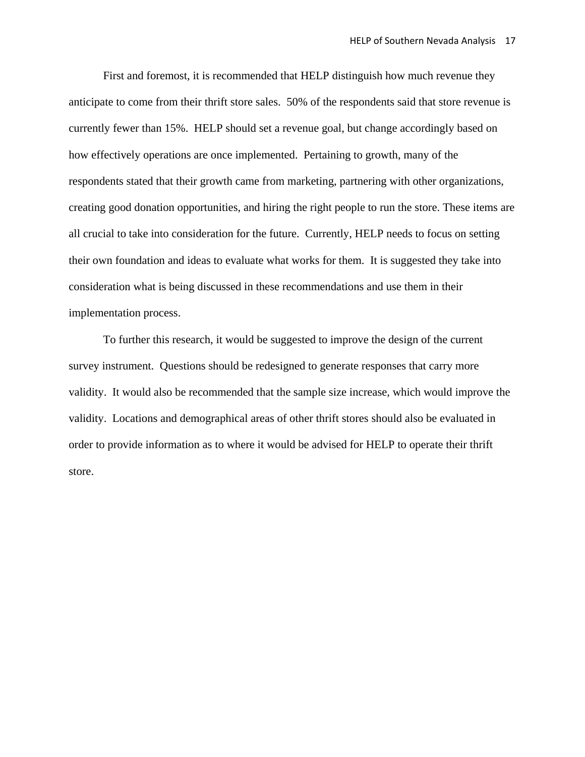First and foremost, it is recommended that HELP distinguish how much revenue they anticipate to come from their thrift store sales. 50% of the respondents said that store revenue is currently fewer than 15%. HELP should set a revenue goal, but change accordingly based on how effectively operations are once implemented. Pertaining to growth, many of the respondents stated that their growth came from marketing, partnering with other organizations, creating good donation opportunities, and hiring the right people to run the store. These items are all crucial to take into consideration for the future. Currently, HELP needs to focus on setting their own foundation and ideas to evaluate what works for them. It is suggested they take into consideration what is being discussed in these recommendations and use them in their implementation process.

 To further this research, it would be suggested to improve the design of the current survey instrument. Questions should be redesigned to generate responses that carry more validity. It would also be recommended that the sample size increase, which would improve the validity. Locations and demographical areas of other thrift stores should also be evaluated in order to provide information as to where it would be advised for HELP to operate their thrift store.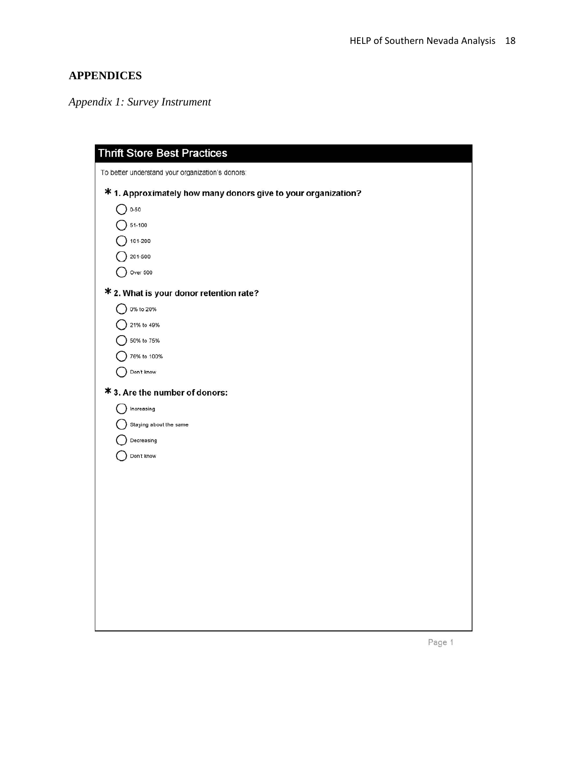## **APPENDICES**

*Appendix 1: Survey Instrument* 

| <b>Thrift Store Best Practices</b>                            |
|---------------------------------------------------------------|
| To better understand your organization's donors:              |
| * 1. Approximately how many donors give to your organization? |
| $()$ 0-50                                                     |
| 51-100                                                        |
| 101-200                                                       |
| 201-500                                                       |
| Over 500                                                      |
| * 2. What is your donor retention rate?                       |
| 0% to 20%                                                     |
| 21% to 49%<br>50% to 75%                                      |
| 76% to 100%                                                   |
| Don't know                                                    |
| * 3. Are the number of donors:                                |
| Increasing                                                    |
| Staying about the same                                        |
| Decreasing                                                    |
| Don't know                                                    |
|                                                               |
|                                                               |
|                                                               |
|                                                               |
|                                                               |
|                                                               |
|                                                               |
|                                                               |
|                                                               |
|                                                               |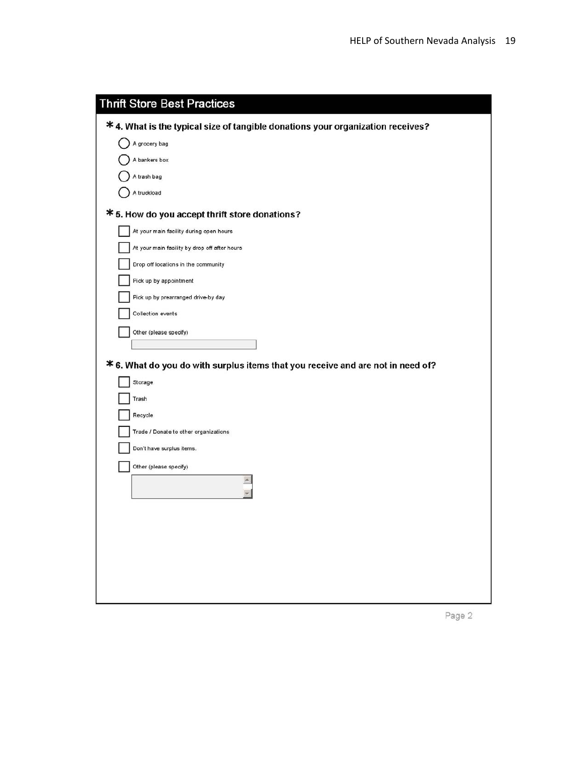| <b>Thrift Store Best Practices</b>                                              |
|---------------------------------------------------------------------------------|
| * 4. What is the typical size of tangible donations your organization receives? |
| A grocery bag                                                                   |
| A bankers box                                                                   |
| A trash bag                                                                     |
| A truckload                                                                     |
| * 5. How do you accept thrift store donations?                                  |
| At your main facility during open hours                                         |
| At your main facility by drop off after hours                                   |
| Drop off locations in the community                                             |
| Pick up by appointment                                                          |
| Pick up by prearranged drive-by day                                             |
| Collection events                                                               |
| Other (please specify)                                                          |
|                                                                                 |
| * 6. What do you do with surplus items that you receive and are not in need of? |
| Storage                                                                         |
| Trash                                                                           |
| Recycle                                                                         |
| Trade / Donate to other organizations                                           |
| Don't have surplus items.                                                       |
| Other (please specify)                                                          |
|                                                                                 |
|                                                                                 |
|                                                                                 |
|                                                                                 |
|                                                                                 |
|                                                                                 |
|                                                                                 |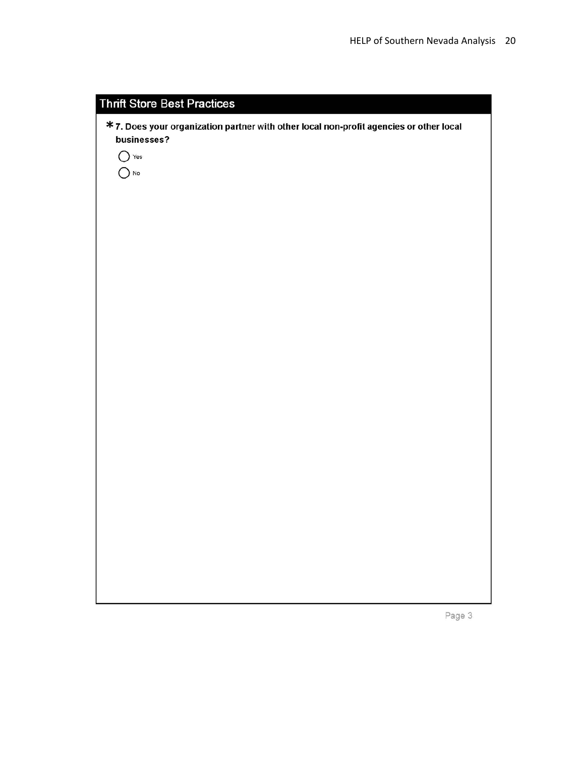| <b>Thrift Store Best Practices</b>                                                                     |
|--------------------------------------------------------------------------------------------------------|
| * 7. Does your organization partner with other local non-profit agencies or other local<br>businesses? |
| $\bigcap$ Yes<br>No                                                                                    |
|                                                                                                        |
|                                                                                                        |
|                                                                                                        |
|                                                                                                        |
|                                                                                                        |
|                                                                                                        |
|                                                                                                        |
|                                                                                                        |
|                                                                                                        |
|                                                                                                        |
|                                                                                                        |
|                                                                                                        |

Page 3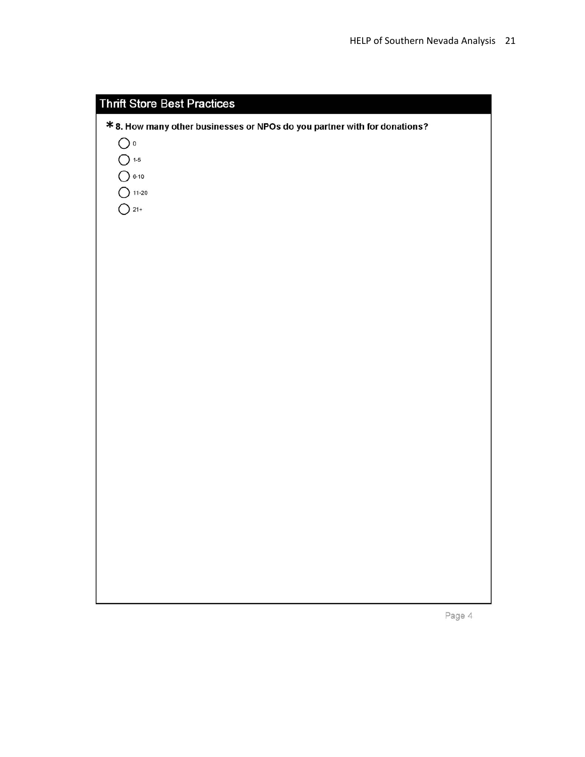| <b>Thrift Store Best Practices</b>                                        |
|---------------------------------------------------------------------------|
| * 8. How many other businesses or NPOs do you partner with for donations? |
| $\bigcirc$ o                                                              |
| $\bigcirc$ 1-5                                                            |
| $O$ 6-10                                                                  |
| $O$ 11-20                                                                 |
| $O$ 21+                                                                   |
|                                                                           |
|                                                                           |
|                                                                           |
|                                                                           |
|                                                                           |
|                                                                           |
|                                                                           |
|                                                                           |
|                                                                           |
|                                                                           |
|                                                                           |
|                                                                           |
|                                                                           |
|                                                                           |
|                                                                           |
|                                                                           |
|                                                                           |
|                                                                           |
|                                                                           |
|                                                                           |
|                                                                           |
|                                                                           |
|                                                                           |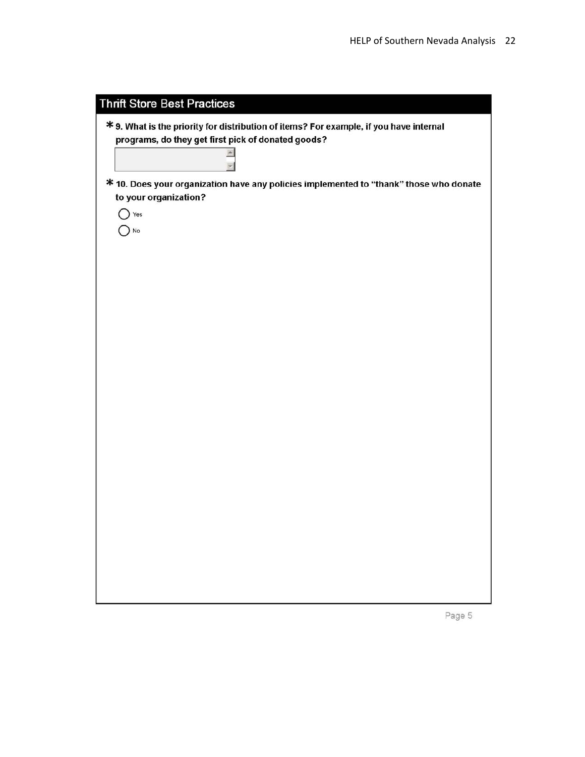| <b>Thrift Store Best Practices</b>                                                     |
|----------------------------------------------------------------------------------------|
| * 9. What is the priority for distribution of items? For example, if you have internal |
| programs, do they get first pick of donated goods?                                     |
|                                                                                        |
| * 10. Does your organization have any policies implemented to "thank" those who donate |
| to your organization?                                                                  |
| Yes                                                                                    |
| No                                                                                     |
|                                                                                        |
|                                                                                        |
|                                                                                        |
|                                                                                        |
|                                                                                        |
|                                                                                        |
|                                                                                        |
|                                                                                        |
|                                                                                        |
|                                                                                        |
|                                                                                        |
|                                                                                        |
|                                                                                        |
|                                                                                        |
|                                                                                        |
|                                                                                        |
|                                                                                        |
|                                                                                        |
|                                                                                        |
|                                                                                        |

Page 5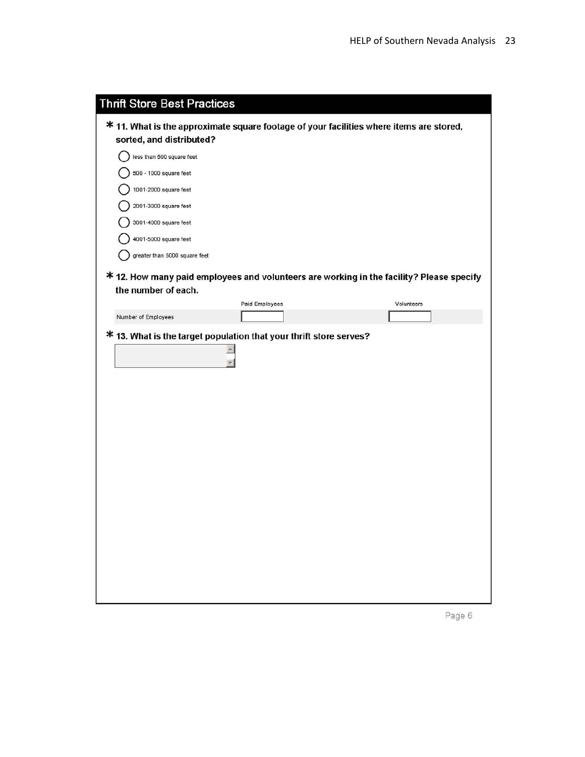| <b>Thrift Store Best Practices</b>                                 |                |                                                                                          |
|--------------------------------------------------------------------|----------------|------------------------------------------------------------------------------------------|
|                                                                    |                | * 11. What is the approximate square footage of your facilities where items are stored,  |
| sorted, and distributed?                                           |                |                                                                                          |
| less than 500 square feet                                          |                |                                                                                          |
| 500 - 1000 square feet                                             |                |                                                                                          |
| 1001-2000 square feet                                              |                |                                                                                          |
| 2001-3000 square feet                                              |                |                                                                                          |
| 3001-4000 square feet                                              |                |                                                                                          |
| 4001-5000 square feet                                              |                |                                                                                          |
| greater than 5000 square feet                                      |                |                                                                                          |
|                                                                    |                | * 12. How many paid employees and volunteers are working in the facility? Please specify |
| the number of each.                                                |                |                                                                                          |
|                                                                    | Paid Employees | Volunteers                                                                               |
| Number of Employees                                                |                |                                                                                          |
| * 13. What is the target population that your thrift store serves? |                |                                                                                          |
|                                                                    |                |                                                                                          |
|                                                                    |                |                                                                                          |
|                                                                    |                |                                                                                          |
|                                                                    |                |                                                                                          |
|                                                                    |                |                                                                                          |
|                                                                    |                |                                                                                          |
|                                                                    |                |                                                                                          |
|                                                                    |                |                                                                                          |
|                                                                    |                |                                                                                          |
|                                                                    |                |                                                                                          |
|                                                                    |                |                                                                                          |
|                                                                    |                |                                                                                          |
|                                                                    |                |                                                                                          |
|                                                                    |                |                                                                                          |
|                                                                    |                |                                                                                          |
|                                                                    |                |                                                                                          |
|                                                                    |                |                                                                                          |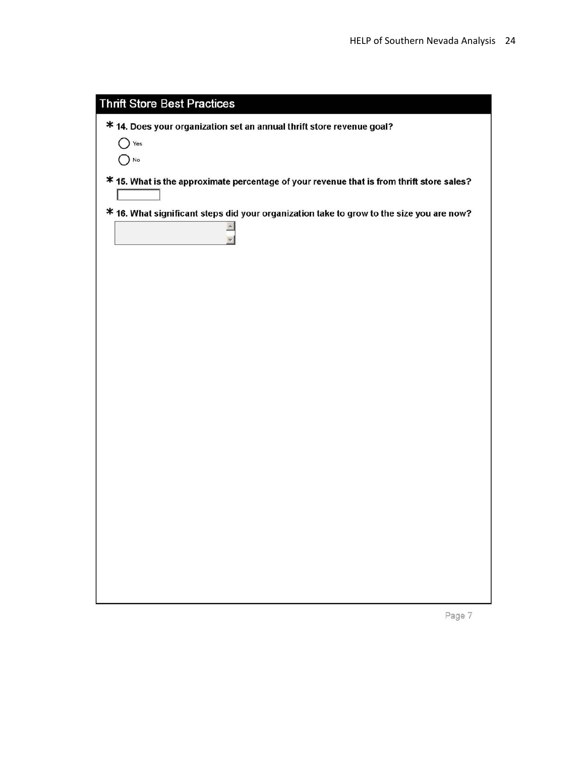| <b>Thrift Store Best Practices</b>                                                        |
|-------------------------------------------------------------------------------------------|
| * 14. Does your organization set an annual thrift store revenue goal?                     |
| Yes                                                                                       |
| $\bigcap$ No                                                                              |
| * 15. What is the approximate percentage of your revenue that is from thrift store sales? |
|                                                                                           |
| * 16. What significant steps did your organization take to grow to the size you are now?  |
|                                                                                           |
|                                                                                           |
|                                                                                           |
|                                                                                           |
|                                                                                           |
|                                                                                           |
|                                                                                           |
|                                                                                           |
|                                                                                           |
|                                                                                           |
|                                                                                           |
|                                                                                           |
|                                                                                           |
|                                                                                           |
|                                                                                           |

Page 7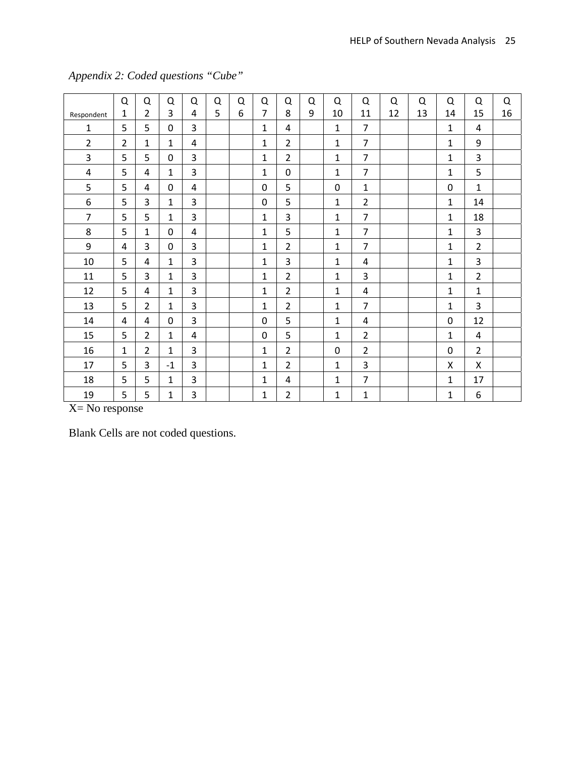|                | Q              | Q              | Q            | Q              | Q | Q | Q              | Q              | Q | Q            | Q              | Q  | Q  | Q              | Q              | Q  |
|----------------|----------------|----------------|--------------|----------------|---|---|----------------|----------------|---|--------------|----------------|----|----|----------------|----------------|----|
| Respondent     | $\mathbf{1}$   | $\overline{2}$ | 3            | 4              | 5 | 6 | $\overline{7}$ | 8              | 9 | 10           | 11             | 12 | 13 | 14             | 15             | 16 |
| $\mathbf{1}$   | 5              | 5              | 0            | 3              |   |   | 1              | 4              |   | $\mathbf{1}$ | $\overline{7}$ |    |    | $\mathbf{1}$   | 4              |    |
| $\overline{2}$ | $\overline{2}$ | $\mathbf{1}$   | $\mathbf{1}$ | 4              |   |   | $\mathbf{1}$   | $\overline{2}$ |   | $\mathbf{1}$ | $\overline{7}$ |    |    | $\mathbf{1}$   | 9              |    |
| 3              | 5              | 5              | $\mathbf 0$  | $\overline{3}$ |   |   | $\mathbf{1}$   | $\overline{2}$ |   | $\mathbf{1}$ | $\overline{7}$ |    |    | $\mathbf{1}$   | 3              |    |
| 4              | 5              | 4              | $\mathbf{1}$ | $\overline{3}$ |   |   | $\mathbf{1}$   | $\Omega$       |   | $\mathbf{1}$ | $\overline{7}$ |    |    | $\mathbf{1}$   | 5              |    |
| 5              | 5              | 4              | $\Omega$     | 4              |   |   | $\Omega$       | 5              |   | $\mathbf{0}$ | $\mathbf{1}$   |    |    | 0              | $\mathbf{1}$   |    |
| 6              | 5              | 3              | $\mathbf{1}$ | 3              |   |   | 0              | 5              |   | $\mathbf{1}$ | $\overline{2}$ |    |    | $\mathbf{1}$   | 14             |    |
| $\overline{7}$ | 5              | 5              | $\mathbf{1}$ | $\overline{3}$ |   |   | $\mathbf{1}$   | 3              |   | $\mathbf{1}$ | $\overline{7}$ |    |    | $\mathbf{1}$   | 18             |    |
| 8              | 5              | $\mathbf{1}$   | $\mathbf 0$  | 4              |   |   | $\mathbf{1}$   | 5              |   | $\mathbf{1}$ | $\overline{7}$ |    |    | $\mathbf{1}$   | $\overline{3}$ |    |
| 9              | 4              | 3              | $\Omega$     | $\overline{3}$ |   |   | 1              | $\overline{2}$ |   | $\mathbf{1}$ | $\overline{7}$ |    |    | 1              | $\overline{2}$ |    |
| 10             | 5              | 4              | $\mathbf{1}$ | 3              |   |   | $\mathbf{1}$   | 3              |   | $\mathbf{1}$ | 4              |    |    | 1              | 3              |    |
| 11             | 5              | 3              | $\mathbf{1}$ | 3              |   |   | $\mathbf{1}$   | $\overline{2}$ |   | $\mathbf{1}$ | 3              |    |    | $\mathbf{1}$   | $\overline{2}$ |    |
| 12             | 5              | 4              | $\mathbf{1}$ | $\overline{3}$ |   |   | $\mathbf{1}$   | $\overline{2}$ |   | $\mathbf{1}$ | 4              |    |    | $\mathbf{1}$   | $\mathbf{1}$   |    |
| 13             | 5              | $\overline{2}$ | $\mathbf{1}$ | $\overline{3}$ |   |   | 1              | $\overline{2}$ |   | $\mathbf{1}$ | $\overline{7}$ |    |    | $\mathbf{1}$   | 3              |    |
| 14             | 4              | 4              | $\Omega$     | 3              |   |   | $\Omega$       | 5              |   | $\mathbf{1}$ | 4              |    |    | 0              | 12             |    |
| 15             | 5              | $\overline{2}$ | $\mathbf{1}$ | 4              |   |   | 0              | 5              |   | $\mathbf{1}$ | $\overline{2}$ |    |    | $\mathbf{1}$   | 4              |    |
| 16             | $\mathbf{1}$   | $\overline{2}$ | $\mathbf{1}$ | $\overline{3}$ |   |   | $\mathbf{1}$   | $\overline{2}$ |   | $\mathbf 0$  | $\overline{2}$ |    |    | $\overline{0}$ | $\overline{2}$ |    |
| 17             | 5              | 3              | $-1$         | 3              |   |   | $\mathbf{1}$   | $\overline{2}$ |   | $\mathbf{1}$ | 3              |    |    | Χ              | X              |    |
| 18             | 5              | 5              | $\mathbf{1}$ | $\overline{3}$ |   |   | $\mathbf{1}$   | 4              |   | $\mathbf{1}$ | $\overline{7}$ |    |    | $\mathbf{1}$   | 17             |    |
| 19             | 5              | 5              | $\mathbf{1}$ | 3              |   |   | 1              | $\overline{2}$ |   | $\mathbf{1}$ | $\mathbf{1}$   |    |    | $\mathbf{1}$   | 6              |    |

## *Appendix 2: Coded questions "Cube"*

X= No response

Blank Cells are not coded questions.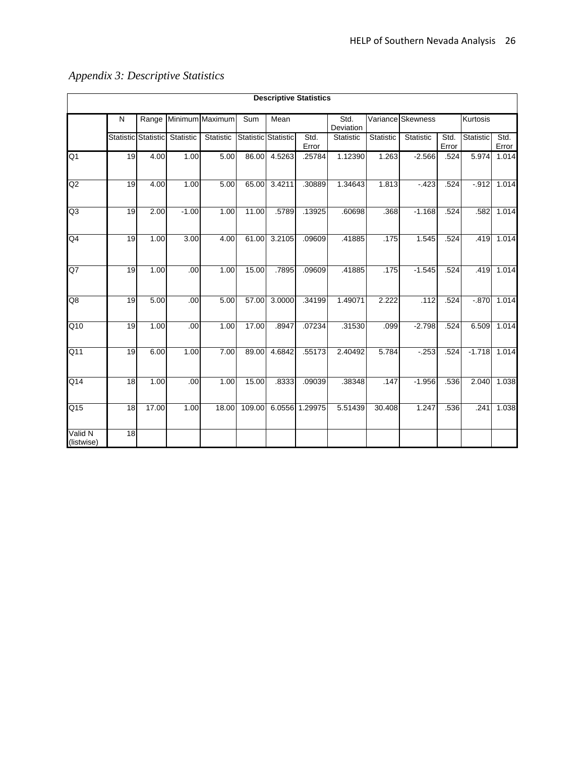|                       | <b>Descriptive Statistics</b> |                            |           |                 |        |                     |               |           |                                        |           |               |           |               |
|-----------------------|-------------------------------|----------------------------|-----------|-----------------|--------|---------------------|---------------|-----------|----------------------------------------|-----------|---------------|-----------|---------------|
|                       | N                             | Range                      |           | Minimum Maximum | Sum    | Mean                |               |           | Variance Skewness<br>Std.<br>Deviation |           |               | Kurtosis  |               |
|                       |                               | <b>Statistic Statistic</b> | Statistic | Statistic       |        | Statistic Statistic | Std.<br>Error | Statistic | Statistic                              | Statistic | Std.<br>Error | Statistic | Std.<br>Error |
| Q <sub>1</sub>        | 19                            | 4.00                       | 1.00      | 5.00            | 86.00  | 4.5263              | .25784        | 1.12390   | 1.263                                  | $-2.566$  | .524          | 5.974     | 1.014         |
| Q2                    | 19                            | 4.00                       | 1.00      | 5.00            | 65.00  | 3.4211              | .30889        | 1.34643   | 1.813                                  | $-423$    | .524          | $-.912$   | 1.014         |
| Q <sub>3</sub>        | 19                            | 2.00                       | $-1.00$   | 1.00            | 11.00  | .5789               | .13925        | .60698    | .368                                   | $-1.168$  | .524          | .582      | 1.014         |
| Q4                    | 19                            | 1.00                       | 3.00      | 4.00            | 61.00  | 3.2105              | .09609        | .41885    | .175                                   | 1.545     | .524          | .419      | 1.014         |
| Q7                    | 19                            | 1.00                       | .00       | 1.00            | 15.00  | .7895               | .09609        | .41885    | .175                                   | $-1.545$  | .524          | .419      | 1.014         |
| Q8                    | 19                            | 5.00                       | .00       | 5.00            | 57.00  | 3.0000              | .34199        | 1.49071   | 2.222                                  | .112      | .524          | $-.870$   | 1.014         |
| Q10                   | 19                            | 1.00                       | .00       | 1.00            | 17.00  | .8947               | .07234        | .31530    | .099                                   | $-2.798$  | .524          | 6.509     | 1.014         |
| Q11                   | 19                            | 6.00                       | 1.00      | 7.00            | 89.00  | 4.6842              | .55173        | 2.40492   | 5.784                                  | $-.253$   | .524          | $-1.718$  | 1.014         |
| Q14                   | 18                            | 1.00                       | .00       | 1.00            | 15.00  | .8333               | .09039        | .38348    | .147                                   | $-1.956$  | .536          | 2.040     | 1.038         |
| Q <sub>15</sub>       | 18                            | 17.00                      | 1.00      | 18.00           | 109.00 | 6.0556              | 1.29975       | 5.51439   | 30.408                                 | 1.247     | .536          | .241      | 1.038         |
| Valid N<br>(listwise) | 18                            |                            |           |                 |        |                     |               |           |                                        |           |               |           |               |

## *Appendix 3: Descriptive Statistics*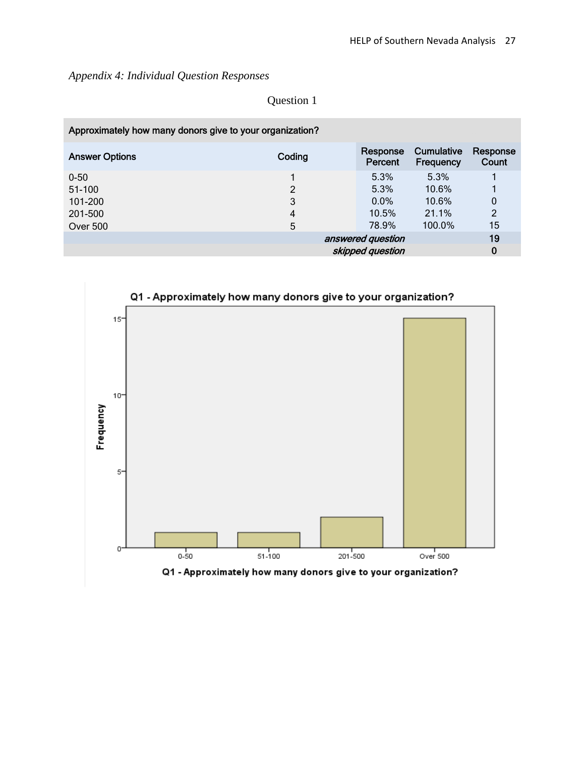*Appendix 4: Individual Question Responses* 

| Approximately how many donors give to your organization? |        |                     |                                |                   |
|----------------------------------------------------------|--------|---------------------|--------------------------------|-------------------|
| <b>Answer Options</b>                                    | Coding | Response<br>Percent | <b>Cumulative</b><br>Frequency | Response<br>Count |
| $0 - 50$                                                 |        | 5.3%                | 5.3%                           |                   |
| 51-100                                                   | 2      | 5.3%                | 10.6%                          |                   |
| 101-200                                                  | 3      | $0.0\%$             | 10.6%                          | $\mathbf 0$       |
| 201-500                                                  | 4      | 10.5%               | 21.1%                          | 2                 |
| <b>Over 500</b>                                          | 5      | 78.9%               | 100.0%                         | 15                |
|                                                          |        | answered question   |                                | 19                |
|                                                          |        | skipped question    |                                | 0                 |

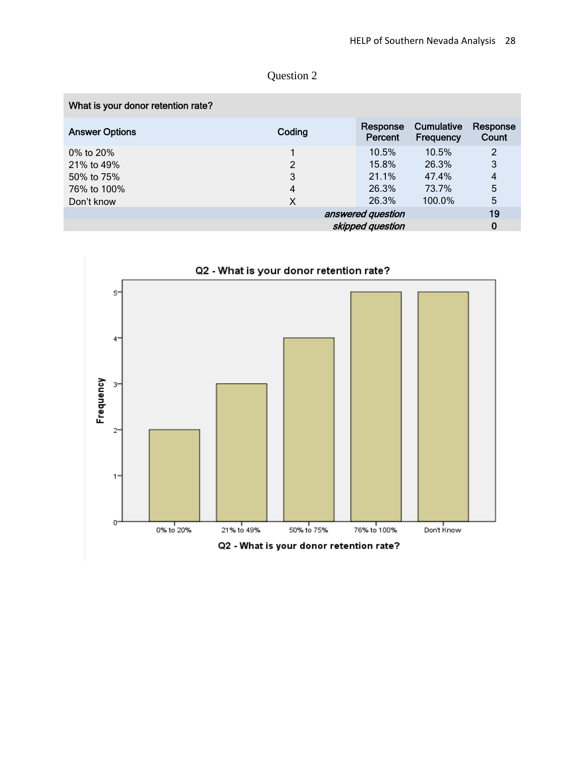| What is your donor retention rate? |                |                     |                                |                   |
|------------------------------------|----------------|---------------------|--------------------------------|-------------------|
| <b>Answer Options</b>              | Coding         | Response<br>Percent | <b>Cumulative</b><br>Frequency | Response<br>Count |
| 0% to 20%                          |                | 10.5%               | 10.5%                          | $\overline{2}$    |
| 21% to 49%                         | $\overline{2}$ | 15.8%               | 26.3%                          | 3                 |
| 50% to 75%                         | 3              | 21.1%               | 47.4%                          | 4                 |
| 76% to 100%                        | 4              | 26.3%               | 73.7%                          | 5                 |
| Don't know                         | X              | 26.3%               | 100.0%                         | 5                 |
|                                    |                | answered question   |                                | 19                |
|                                    |                | skipped question    |                                | 0                 |

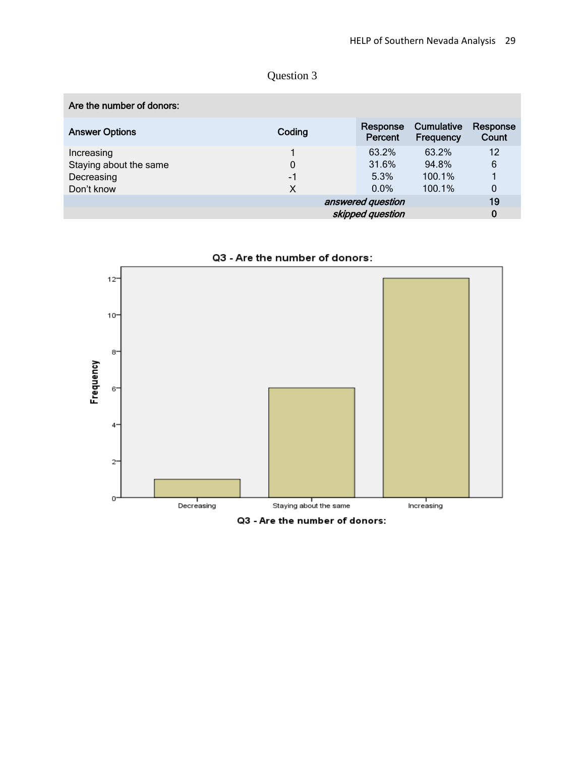| Coding | Response<br>Percent | <b>Cumulative</b><br>Frequency        | Response<br>Count |
|--------|---------------------|---------------------------------------|-------------------|
|        | 63.2%               | 63.2%                                 | 12                |
| 0      | 31.6%               | 94.8%                                 | 6                 |
| $-1$   | 5.3%                | 100.1%                                |                   |
| X      | $0.0\%$             | $100.1\%$                             | 0                 |
|        |                     |                                       | 19                |
|        |                     |                                       | 0                 |
|        |                     | answered question<br>skipped question |                   |

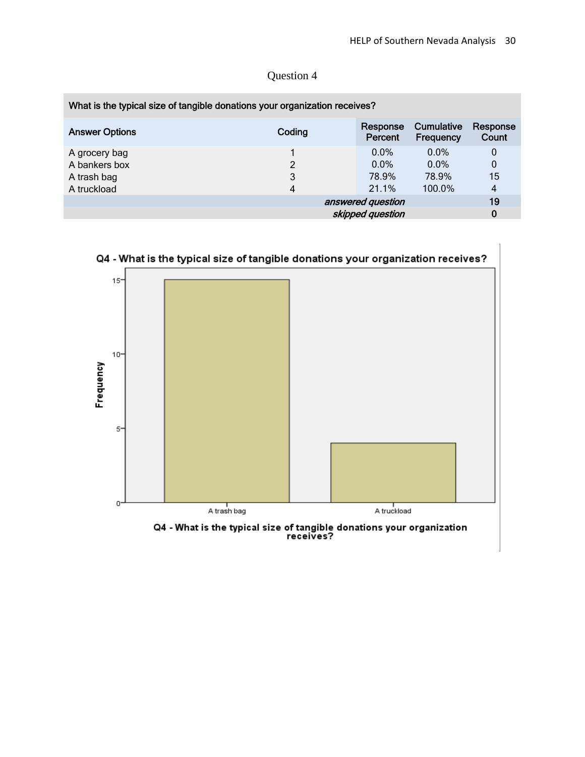| Coding | Response<br>Percent | Cumulative<br>Frequency                                                                                             | Response<br>Count |
|--------|---------------------|---------------------------------------------------------------------------------------------------------------------|-------------------|
|        | $0.0\%$             | $0.0\%$                                                                                                             | 0                 |
| 2      | $0.0\%$             | $0.0\%$                                                                                                             | $\mathbf 0$       |
| 3      | 78.9%               | 78.9%                                                                                                               | 15                |
| 4      | 21.1%               | 100.0%                                                                                                              | $\overline{4}$    |
|        |                     |                                                                                                                     | 19                |
|        |                     |                                                                                                                     | 0                 |
|        |                     | What is the typical size of tangible donations your organization receives?<br>answered question<br>skipped question |                   |

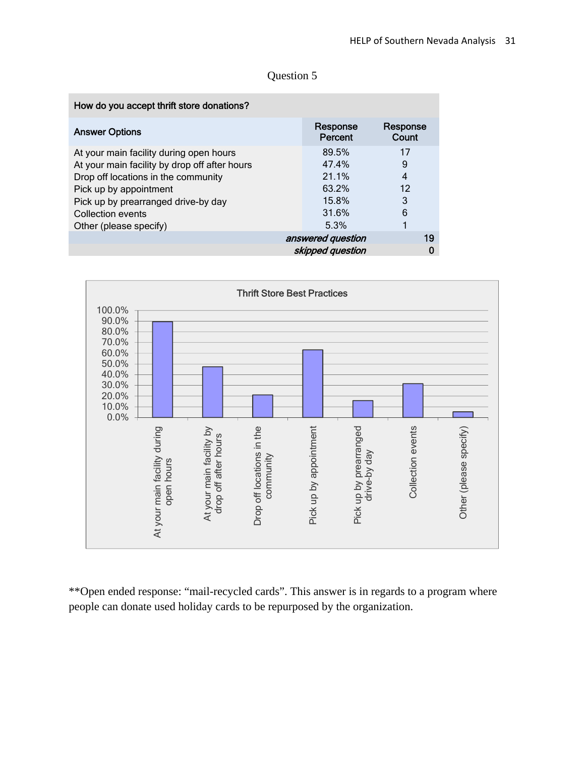| Question 5 |  |
|------------|--|
|------------|--|

| How do you accept thrift store donations?     |                     |                   |
|-----------------------------------------------|---------------------|-------------------|
| <b>Answer Options</b>                         | Response<br>Percent | Response<br>Count |
| At your main facility during open hours       | 89.5%               | 17                |
| At your main facility by drop off after hours | 47.4%               | 9                 |
| Drop off locations in the community           | 21.1%               | 4                 |
| Pick up by appointment                        | 63.2%               | 12                |
| Pick up by prearranged drive-by day           | 15.8%               | 3                 |
| Collection events                             | 31.6%               | 6                 |
| Other (please specify)                        | 5.3%                |                   |
|                                               | answered question   | 19                |
|                                               | skipped question    |                   |



\*\*Open ended response: "mail-recycled cards". This answer is in regards to a program where people can donate used holiday cards to be repurposed by the organization.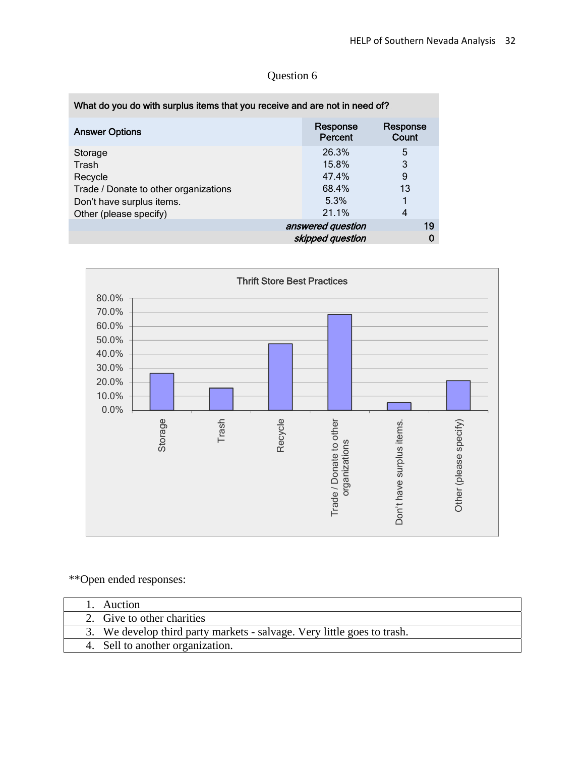| What do you do with surplus items that you receive and are not in need of? |                     |                   |
|----------------------------------------------------------------------------|---------------------|-------------------|
| <b>Answer Options</b>                                                      | Response<br>Percent | Response<br>Count |
| Storage                                                                    | 26.3%               | 5                 |
| Trash                                                                      | 15.8%               | 3                 |
| Recycle                                                                    | 47.4%               | 9                 |
| Trade / Donate to other organizations                                      | 68.4%               | 13                |
| Don't have surplus items.                                                  | 5.3%                |                   |
| Other (please specify)                                                     | 21.1%               | 4                 |
|                                                                            | answered question   | 19                |
|                                                                            | skipped question    | 0                 |



\*\*Open ended responses:

| <b>Auction</b>                                                          |  |
|-------------------------------------------------------------------------|--|
| 2. Give to other charities                                              |  |
| 3. We develop third party markets - salvage. Very little goes to trash. |  |
| 4. Sell to another organization.                                        |  |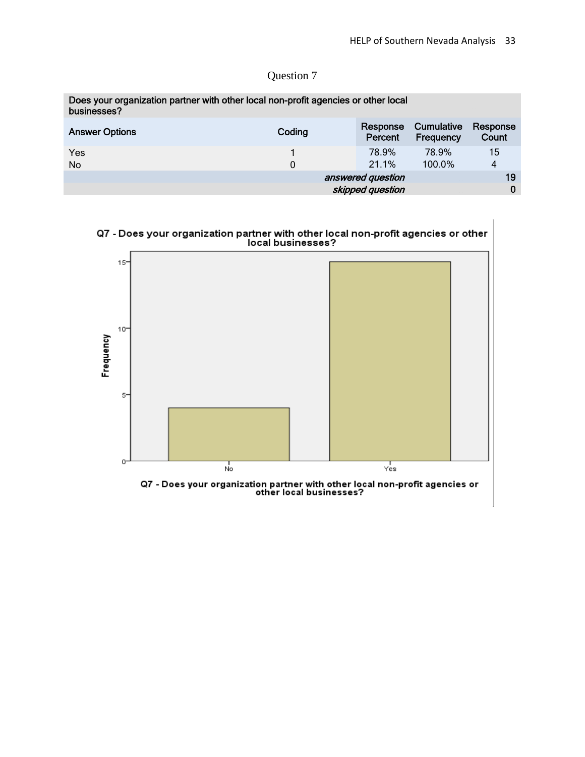| Question 7 |  |
|------------|--|
|            |  |

| Does your organization partner with other local non-profit agencies or other local<br>businesses? |        |                     |                         |                   |
|---------------------------------------------------------------------------------------------------|--------|---------------------|-------------------------|-------------------|
| <b>Answer Options</b>                                                                             | Coding | Response<br>Percent | Cumulative<br>Frequency | Response<br>Count |
| Yes                                                                                               |        | 78.9%               | 78.9%                   | 15                |
| No.                                                                                               | 0      | 21.1%               | 100.0%                  | 4                 |
|                                                                                                   |        | answered question   |                         | 19                |
|                                                                                                   |        | skipped question    |                         | 0                 |

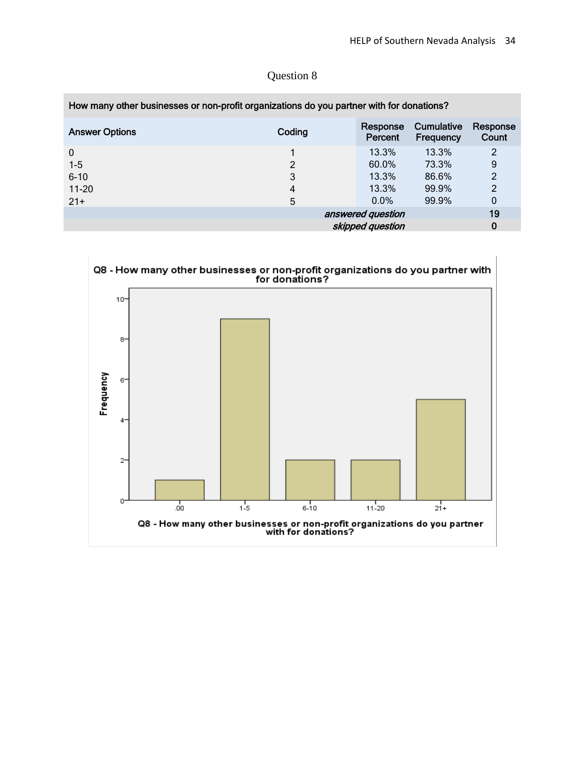| How many other businesses or non-profit organizations do you partner with for donations? |        |                     |                         |                   |
|------------------------------------------------------------------------------------------|--------|---------------------|-------------------------|-------------------|
| <b>Answer Options</b>                                                                    | Coding | Response<br>Percent | Cumulative<br>Frequency | Response<br>Count |
| $\mathbf 0$                                                                              |        | 13.3%               | 13.3%                   | 2                 |
| $1-5$                                                                                    | 2      | 60.0%               | 73.3%                   | 9                 |
| $6 - 10$                                                                                 | 3      | 13.3%               | 86.6%                   | $\overline{2}$    |
| $11-20$                                                                                  | 4      | 13.3%               | 99.9%                   | $\overline{2}$    |
| $21+$                                                                                    | 5      | $0.0\%$             | 99.9%                   | $\boldsymbol{0}$  |
|                                                                                          |        | answered question   |                         | 19                |
|                                                                                          |        | skipped question    |                         | 0                 |

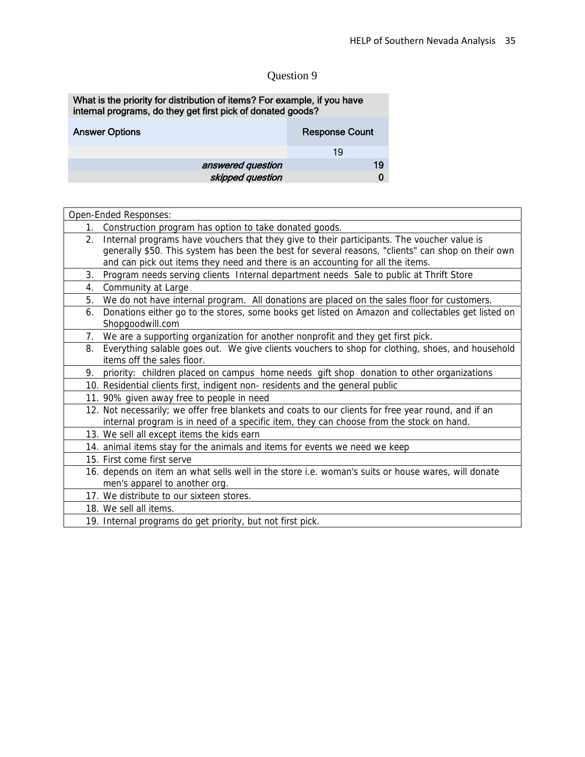#### What is the priority for distribution of items? For example, if you have internal programs, do they get first pick of donated goods?

| <b>Answer Options</b> | <b>Response Count</b> |
|-----------------------|-----------------------|
|                       | 19                    |
| answered question     | 19                    |
| skipped question      |                       |

| Open-Ended Responses:                                                                                   |
|---------------------------------------------------------------------------------------------------------|
| Construction program has option to take donated goods.<br>$1_{\cdot}$                                   |
| Internal programs have vouchers that they give to their participants. The voucher value is<br>2.        |
| generally \$50. This system has been the best for several reasons, "clients" can shop on their own      |
| and can pick out items they need and there is an accounting for all the items.                          |
| Program needs serving clients Internal department needs Sale to public at Thrift Store<br>3.            |
| Community at Large<br>4.                                                                                |
| We do not have internal program. All donations are placed on the sales floor for customers.<br>5.       |
| Donations either go to the stores, some books get listed on Amazon and collectables get listed on<br>6. |
| Shopgoodwill.com                                                                                        |
| We are a supporting organization for another nonprofit and they get first pick.<br>7.                   |
| Everything salable goes out. We give clients vouchers to shop for clothing, shoes, and household<br>8.  |
| items off the sales floor.                                                                              |
| priority: children placed on campus home needs gift shop donation to other organizations<br>9.          |
| 10. Residential clients first, indigent non- residents and the general public                           |
| 11. 90% given away free to people in need                                                               |
| 12. Not necessarily; we offer free blankets and coats to our clients for free year round, and if an     |
| internal program is in need of a specific item, they can choose from the stock on hand.                 |
| 13. We sell all except items the kids earn                                                              |
| 14. animal items stay for the animals and items for events we need we keep                              |
| 15. First come first serve                                                                              |
| 16. depends on item an what sells well in the store i.e. woman's suits or house wares, will donate      |
| men's apparel to another org.                                                                           |
| 17. We distribute to our sixteen stores.                                                                |
| 18. We sell all items.                                                                                  |
| 19. Internal programs do get priority, but not first pick.                                              |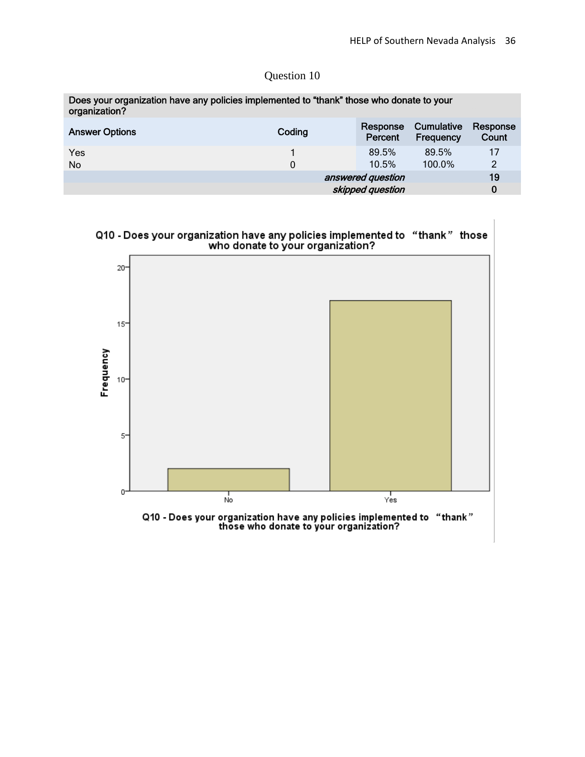| Does your organization have any policies implemented to "thank" those who donate to your<br>organization? |        |                     |                         |                   |
|-----------------------------------------------------------------------------------------------------------|--------|---------------------|-------------------------|-------------------|
| <b>Answer Options</b>                                                                                     | Coding | Response<br>Percent | Cumulative<br>Frequency | Response<br>Count |
| Yes                                                                                                       |        | 89.5%               | 89.5%                   | 17                |
| <b>No</b>                                                                                                 | 0      | 10.5%               | 100.0%                  | 2                 |
|                                                                                                           |        | answered question   |                         | 19                |
|                                                                                                           |        | skipped question    |                         | 0                 |

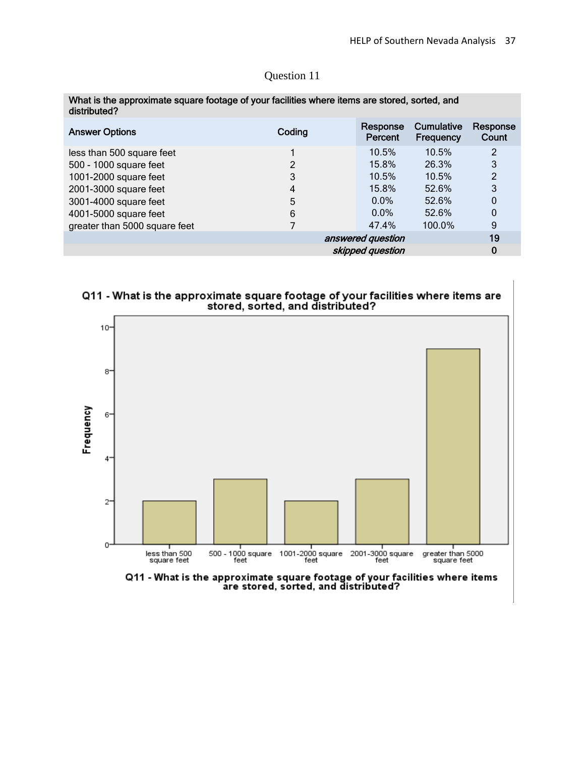| distributed?                  |        |                     |                                |                   |
|-------------------------------|--------|---------------------|--------------------------------|-------------------|
| <b>Answer Options</b>         | Coding | Response<br>Percent | <b>Cumulative</b><br>Frequency | Response<br>Count |
| less than 500 square feet     |        | 10.5%               | 10.5%                          | 2                 |
| 500 - 1000 square feet        | 2      | 15.8%               | 26.3%                          | 3                 |
| 1001-2000 square feet         | 3      | 10.5%               | 10.5%                          | 2                 |
| 2001-3000 square feet         | 4      | 15.8%               | 52.6%                          | 3                 |
| 3001-4000 square feet         | 5      | $0.0\%$             | 52.6%                          | 0                 |
| 4001-5000 square feet         | 6      | $0.0\%$             | 52.6%                          | 0                 |
| greater than 5000 square feet |        | 47.4%               | 100.0%                         | 9                 |
|                               |        | answered question   |                                | 19                |
|                               |        | skipped question    |                                | 0                 |

## What is the approximate square footage of your facilities where items are stored, sorted, and

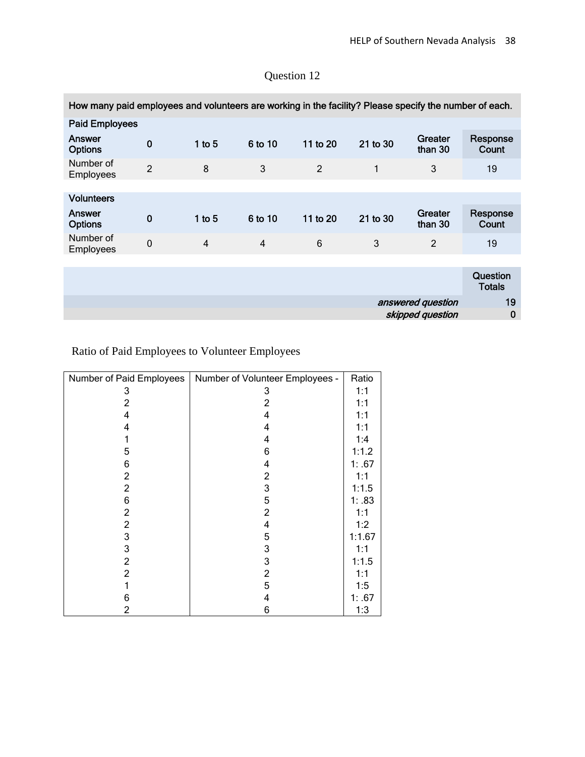| How many paid employees and volunteers are working in the facility? Please specify the number of each. |                |                |                |                |          |                    |                           |
|--------------------------------------------------------------------------------------------------------|----------------|----------------|----------------|----------------|----------|--------------------|---------------------------|
| <b>Paid Employees</b>                                                                                  |                |                |                |                |          |                    |                           |
| Answer<br><b>Options</b>                                                                               | $\bf{0}$       | 1 to $5$       | 6 to 10        | 11 to 20       | 21 to 30 | Greater<br>than 30 | Response<br>Count         |
| Number of<br>Employees                                                                                 | $\overline{2}$ | 8              | 3              | $\overline{2}$ | 1        | 3                  | 19                        |
|                                                                                                        |                |                |                |                |          |                    |                           |
| <b>Volunteers</b>                                                                                      |                |                |                |                |          |                    |                           |
| Answer<br><b>Options</b>                                                                               | $\bf{0}$       | $1$ to $5$     | 6 to 10        | 11 to 20       | 21 to 30 | Greater<br>than 30 | Response<br>Count         |
| Number of<br>Employees                                                                                 | $\mathbf 0$    | $\overline{4}$ | $\overline{4}$ | 6              | 3        | $\overline{2}$     | 19                        |
|                                                                                                        |                |                |                |                |          |                    |                           |
|                                                                                                        |                |                |                |                |          |                    | <b>Question</b><br>Totals |
|                                                                                                        |                |                |                |                |          | answered question  | 19                        |
|                                                                                                        |                |                |                |                |          | skipped question   | $\bf{0}$                  |

Ratio of Paid Employees to Volunteer Employees

| Number of Paid Employees | Number of Volunteer Employees - | Ratio  |
|--------------------------|---------------------------------|--------|
| 3                        | 3                               | 1:1    |
| 2                        | 2                               | 1:1    |
| 4                        | 4                               | 1:1    |
| 4                        | 4                               | 1:1    |
|                          | 4                               | 1:4    |
| 5                        | 6                               | 1:1.2  |
| 6                        | 4                               | 1: .67 |
| $\overline{2}$           | $\overline{2}$                  | 1:1    |
| $\overline{c}$           | 3                               | 1:1.5  |
| 6                        | 5                               | 1: .83 |
| $\overline{c}$           | $\overline{2}$                  | 1:1    |
| $\overline{2}$           | 4                               | 1:2    |
| 3                        | 5                               | 1:1.67 |
| 3                        | 3                               | 1:1    |
| $\overline{2}$           | 3                               | 1:1.5  |
| $\overline{2}$           | $\overline{\mathbf{c}}$         | 1:1    |
|                          | 5                               | 1:5    |
| 6                        | 4                               | 1: .67 |
| 2                        | 6                               | 1:3    |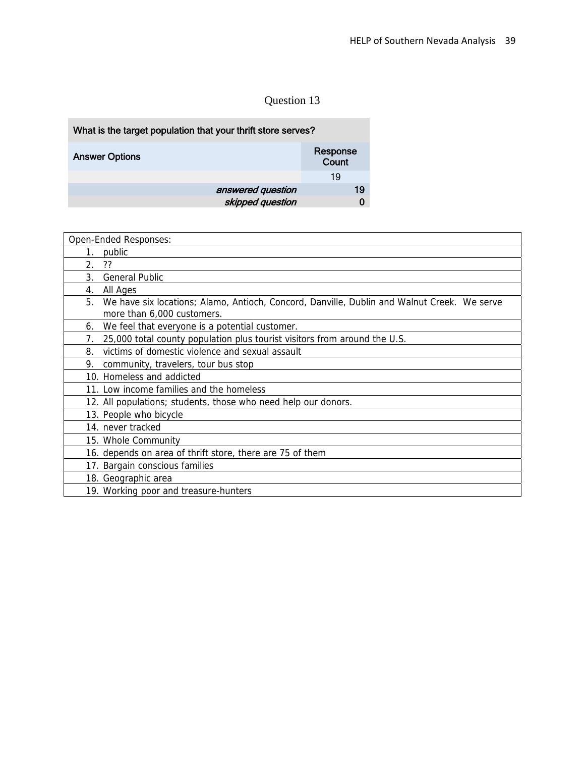| What is the target population that your thrift store serves? |                   |
|--------------------------------------------------------------|-------------------|
| <b>Answer Options</b>                                        | Response<br>Count |
|                                                              | 19                |
| answered question                                            | 19                |
| skipped question                                             |                   |

| Open-Ended Responses:                                                                                                           |
|---------------------------------------------------------------------------------------------------------------------------------|
| public<br>1.                                                                                                                    |
| 2.<br>??                                                                                                                        |
| 3.<br><b>General Public</b>                                                                                                     |
| All Ages<br>4.                                                                                                                  |
| 5.<br>We have six locations; Alamo, Antioch, Concord, Danville, Dublin and Walnut Creek. We serve<br>more than 6,000 customers. |
| We feel that everyone is a potential customer.<br>6.                                                                            |
| 25,000 total county population plus tourist visitors from around the U.S.<br>7.                                                 |
| victims of domestic violence and sexual assault<br>8.                                                                           |
| 9.<br>community, travelers, tour bus stop                                                                                       |
| 10. Homeless and addicted                                                                                                       |
| 11. Low income families and the homeless                                                                                        |
| 12. All populations; students, those who need help our donors.                                                                  |
| 13. People who bicycle                                                                                                          |
| 14. never tracked                                                                                                               |
| 15. Whole Community                                                                                                             |
| 16. depends on area of thrift store, there are 75 of them                                                                       |
| 17. Bargain conscious families                                                                                                  |
| 18. Geographic area                                                                                                             |
| 19. Working poor and treasure-hunters                                                                                           |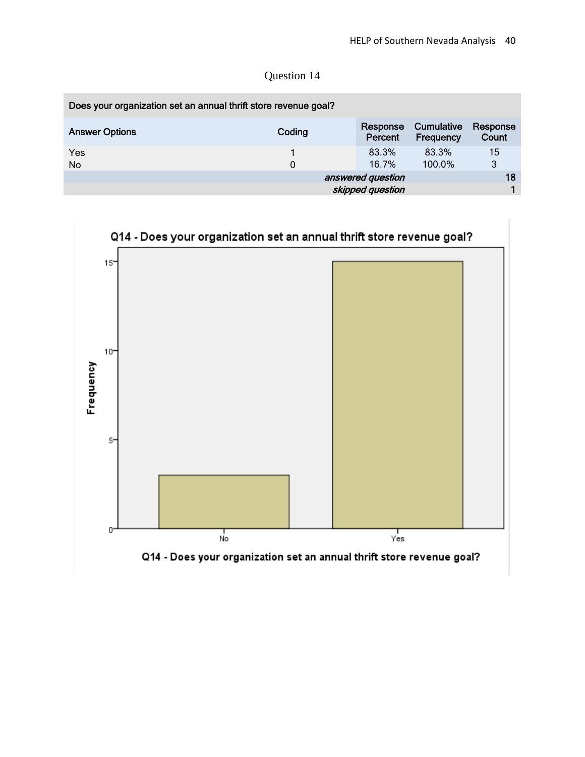| Question 14 |  |
|-------------|--|
|-------------|--|

| Does your organization set an annual thrift store revenue goal? |        |                     |                         |                   |
|-----------------------------------------------------------------|--------|---------------------|-------------------------|-------------------|
| <b>Answer Options</b>                                           | Coding | Response<br>Percent | Cumulative<br>Frequency | Response<br>Count |
| Yes                                                             |        | 83.3%               | 83.3%                   | 15                |
| No                                                              | 0      | 16.7%               | 100.0%                  | 3                 |
|                                                                 |        | answered question   |                         | 18                |
|                                                                 |        | skipped question    |                         |                   |

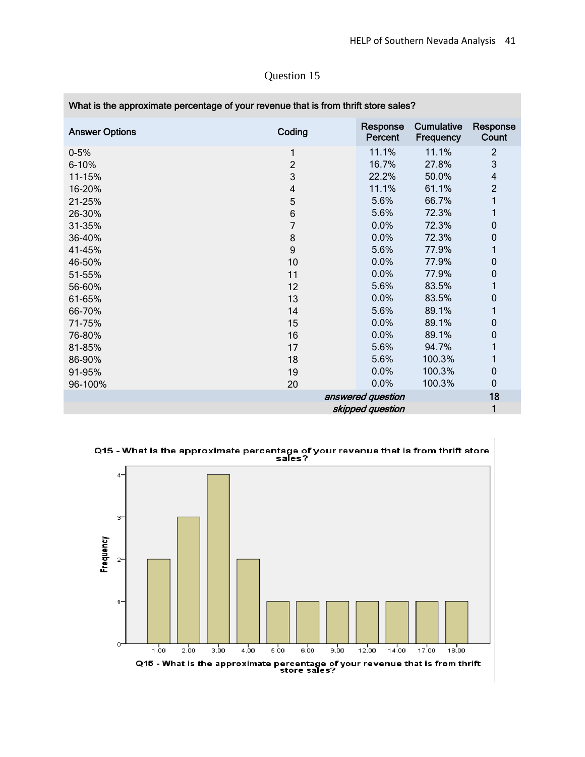| What is the approximate percentage of your revenue that is from thrift store sales? |                         |                     |                         |                         |
|-------------------------------------------------------------------------------------|-------------------------|---------------------|-------------------------|-------------------------|
| <b>Answer Options</b>                                                               | Coding                  | Response<br>Percent | Cumulative<br>Frequency | Response<br>Count       |
| $0 - 5%$                                                                            | 1                       | 11.1%               | 11.1%                   | $\overline{2}$          |
| 6-10%                                                                               | $\overline{2}$          | 16.7%               | 27.8%                   | 3                       |
| 11-15%                                                                              | 3                       | 22.2%               | 50.0%                   | $\overline{\mathbf{4}}$ |
| 16-20%                                                                              | $\overline{\mathbf{4}}$ | 11.1%               | 61.1%                   | $\overline{2}$          |
| 21-25%                                                                              | 5                       | 5.6%                | 66.7%                   | 1                       |
| 26-30%                                                                              | 6                       | 5.6%                | 72.3%                   | 1                       |
| 31-35%                                                                              | 7                       | 0.0%                | 72.3%                   | $\pmb{0}$               |
| 36-40%                                                                              | 8                       | 0.0%                | 72.3%                   | $\mathbf 0$             |
| 41-45%                                                                              | $\mathsf g$             | 5.6%                | 77.9%                   |                         |
| 46-50%                                                                              | 10                      | 0.0%                | 77.9%                   | $\mathbf 0$             |
| 51-55%                                                                              | 11                      | 0.0%                | 77.9%                   | $\mathbf 0$             |
| 56-60%                                                                              | 12                      | 5.6%                | 83.5%                   | 1                       |
| 61-65%                                                                              | 13                      | 0.0%                | 83.5%                   | $\mathbf 0$             |
| 66-70%                                                                              | 14                      | 5.6%                | 89.1%                   | 1                       |
| 71-75%                                                                              | 15                      | 0.0%                | 89.1%                   | 0                       |
| 76-80%                                                                              | 16                      | 0.0%                | 89.1%                   | $\mathbf 0$             |
| 81-85%                                                                              | 17                      | 5.6%                | 94.7%                   |                         |
| 86-90%                                                                              | 18                      | 5.6%                | 100.3%                  | 1                       |
| 91-95%                                                                              | 19                      | 0.0%                | 100.3%                  | $\mathbf 0$             |
| 96-100%                                                                             | 20                      | 0.0%                | 100.3%                  | $\mathbf 0$             |
|                                                                                     |                         | answered question   |                         | 18                      |
|                                                                                     |                         | skipped question    |                         | 1                       |

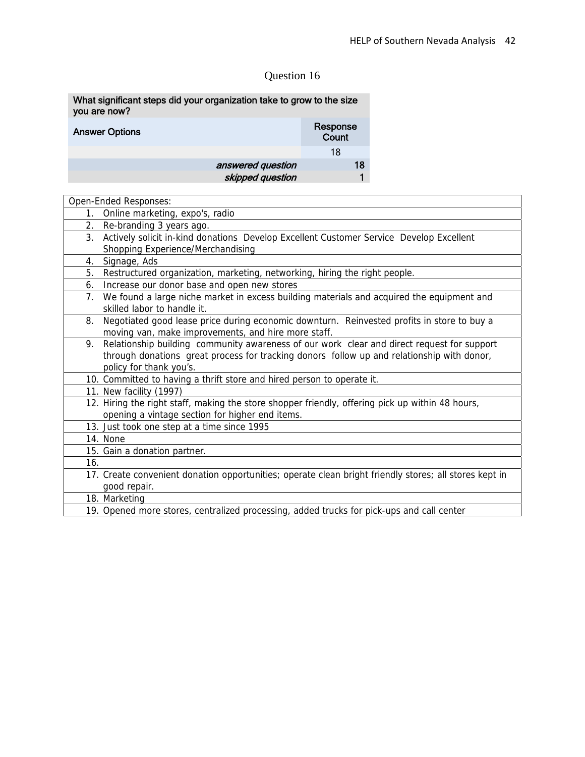| What significant steps did your organization take to grow to the size<br>you are now? |                   |
|---------------------------------------------------------------------------------------|-------------------|
| <b>Answer Options</b>                                                                 | Response<br>Count |
|                                                                                       | 18                |
| answered question                                                                     | 18                |
| skipped question                                                                      |                   |

|     | Open-Ended Responses:                                                                                  |
|-----|--------------------------------------------------------------------------------------------------------|
| 1.  | Online marketing, expo's, radio                                                                        |
| 2.  | Re-branding 3 years ago.                                                                               |
| 3.  | Actively solicit in-kind donations Develop Excellent Customer Service Develop Excellent                |
|     | Shopping Experience/Merchandising                                                                      |
| 4.  | Signage, Ads                                                                                           |
| 5.  | Restructured organization, marketing, networking, hiring the right people.                             |
| 6.  | Increase our donor base and open new stores                                                            |
| 7.  | We found a large niche market in excess building materials and acquired the equipment and              |
|     | skilled labor to handle it.                                                                            |
| 8.  | Negotiated good lease price during economic downturn. Reinvested profits in store to buy a             |
|     | moving van, make improvements, and hire more staff.                                                    |
| 9.  | Relationship building community awareness of our work clear and direct request for support             |
|     | through donations great process for tracking donors follow up and relationship with donor,             |
|     | policy for thank you's.                                                                                |
|     | 10. Committed to having a thrift store and hired person to operate it.                                 |
|     | 11. New facility (1997)                                                                                |
|     | 12. Hiring the right staff, making the store shopper friendly, offering pick up within 48 hours,       |
|     | opening a vintage section for higher end items.                                                        |
|     | 13. Just took one step at a time since 1995                                                            |
|     | 14. None                                                                                               |
|     | 15. Gain a donation partner.                                                                           |
| 16. |                                                                                                        |
|     | 17. Create convenient donation opportunities; operate clean bright friendly stores; all stores kept in |
|     | good repair.                                                                                           |
|     | 18. Marketing                                                                                          |
|     | 19. Opened more stores, centralized processing, added trucks for pick-ups and call center              |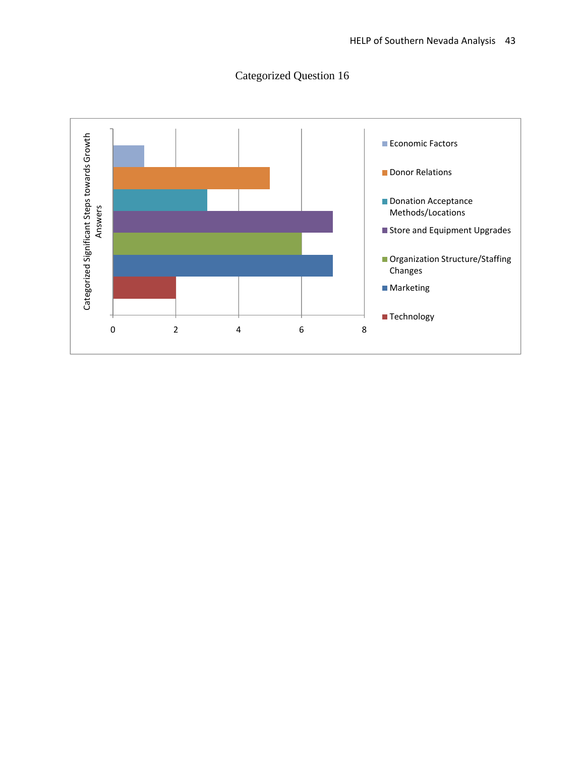

## Categorized Question 16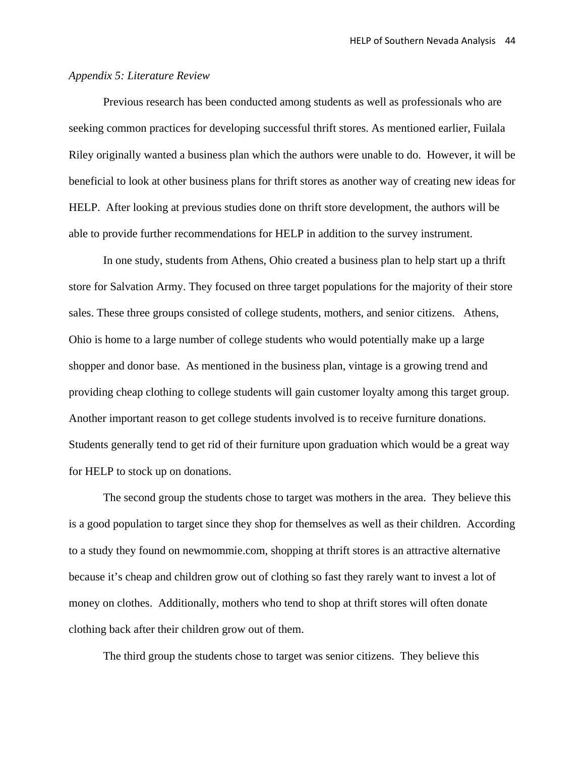#### *Appendix 5: Literature Review*

Previous research has been conducted among students as well as professionals who are seeking common practices for developing successful thrift stores. As mentioned earlier, Fuilala Riley originally wanted a business plan which the authors were unable to do. However, it will be beneficial to look at other business plans for thrift stores as another way of creating new ideas for HELP. After looking at previous studies done on thrift store development, the authors will be able to provide further recommendations for HELP in addition to the survey instrument.

 In one study, students from Athens, Ohio created a business plan to help start up a thrift store for Salvation Army. They focused on three target populations for the majority of their store sales. These three groups consisted of college students, mothers, and senior citizens. Athens, Ohio is home to a large number of college students who would potentially make up a large shopper and donor base. As mentioned in the business plan, vintage is a growing trend and providing cheap clothing to college students will gain customer loyalty among this target group. Another important reason to get college students involved is to receive furniture donations. Students generally tend to get rid of their furniture upon graduation which would be a great way for HELP to stock up on donations.

 The second group the students chose to target was mothers in the area. They believe this is a good population to target since they shop for themselves as well as their children. According to a study they found on newmommie.com, shopping at thrift stores is an attractive alternative because it's cheap and children grow out of clothing so fast they rarely want to invest a lot of money on clothes. Additionally, mothers who tend to shop at thrift stores will often donate clothing back after their children grow out of them.

The third group the students chose to target was senior citizens. They believe this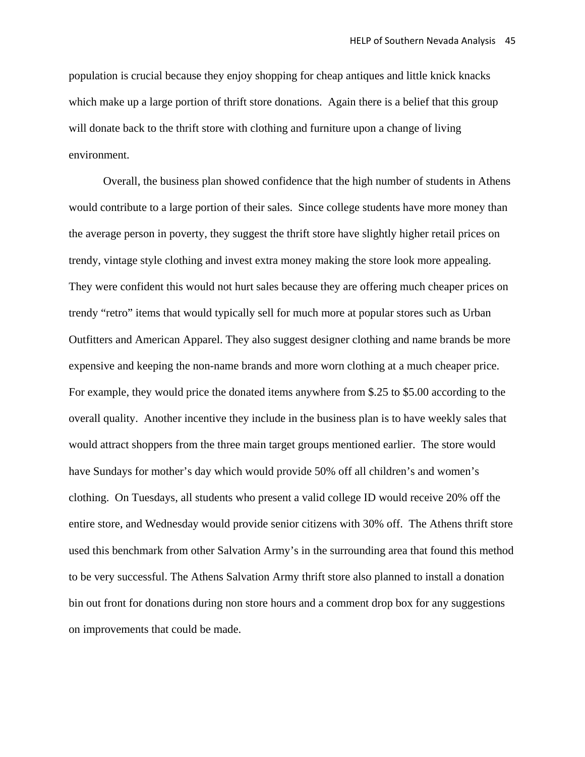population is crucial because they enjoy shopping for cheap antiques and little knick knacks which make up a large portion of thrift store donations. Again there is a belief that this group will donate back to the thrift store with clothing and furniture upon a change of living environment.

Overall, the business plan showed confidence that the high number of students in Athens would contribute to a large portion of their sales. Since college students have more money than the average person in poverty, they suggest the thrift store have slightly higher retail prices on trendy, vintage style clothing and invest extra money making the store look more appealing. They were confident this would not hurt sales because they are offering much cheaper prices on trendy "retro" items that would typically sell for much more at popular stores such as Urban Outfitters and American Apparel. They also suggest designer clothing and name brands be more expensive and keeping the non-name brands and more worn clothing at a much cheaper price. For example, they would price the donated items anywhere from \$.25 to \$5.00 according to the overall quality. Another incentive they include in the business plan is to have weekly sales that would attract shoppers from the three main target groups mentioned earlier. The store would have Sundays for mother's day which would provide 50% off all children's and women's clothing. On Tuesdays, all students who present a valid college ID would receive 20% off the entire store, and Wednesday would provide senior citizens with 30% off. The Athens thrift store used this benchmark from other Salvation Army's in the surrounding area that found this method to be very successful. The Athens Salvation Army thrift store also planned to install a donation bin out front for donations during non store hours and a comment drop box for any suggestions on improvements that could be made.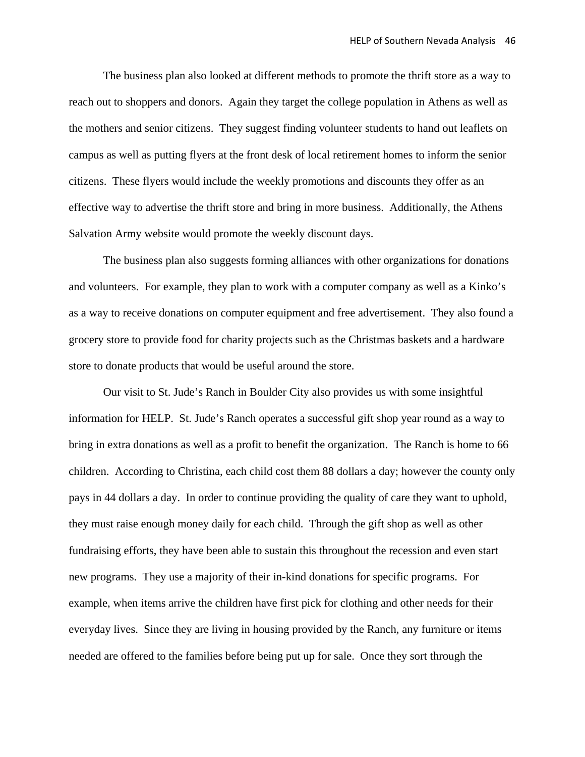The business plan also looked at different methods to promote the thrift store as a way to reach out to shoppers and donors. Again they target the college population in Athens as well as the mothers and senior citizens. They suggest finding volunteer students to hand out leaflets on campus as well as putting flyers at the front desk of local retirement homes to inform the senior citizens. These flyers would include the weekly promotions and discounts they offer as an effective way to advertise the thrift store and bring in more business. Additionally, the Athens Salvation Army website would promote the weekly discount days.

 The business plan also suggests forming alliances with other organizations for donations and volunteers. For example, they plan to work with a computer company as well as a Kinko's as a way to receive donations on computer equipment and free advertisement. They also found a grocery store to provide food for charity projects such as the Christmas baskets and a hardware store to donate products that would be useful around the store.

 Our visit to St. Jude's Ranch in Boulder City also provides us with some insightful information for HELP. St. Jude's Ranch operates a successful gift shop year round as a way to bring in extra donations as well as a profit to benefit the organization. The Ranch is home to 66 children. According to Christina, each child cost them 88 dollars a day; however the county only pays in 44 dollars a day. In order to continue providing the quality of care they want to uphold, they must raise enough money daily for each child. Through the gift shop as well as other fundraising efforts, they have been able to sustain this throughout the recession and even start new programs. They use a majority of their in-kind donations for specific programs. For example, when items arrive the children have first pick for clothing and other needs for their everyday lives. Since they are living in housing provided by the Ranch, any furniture or items needed are offered to the families before being put up for sale. Once they sort through the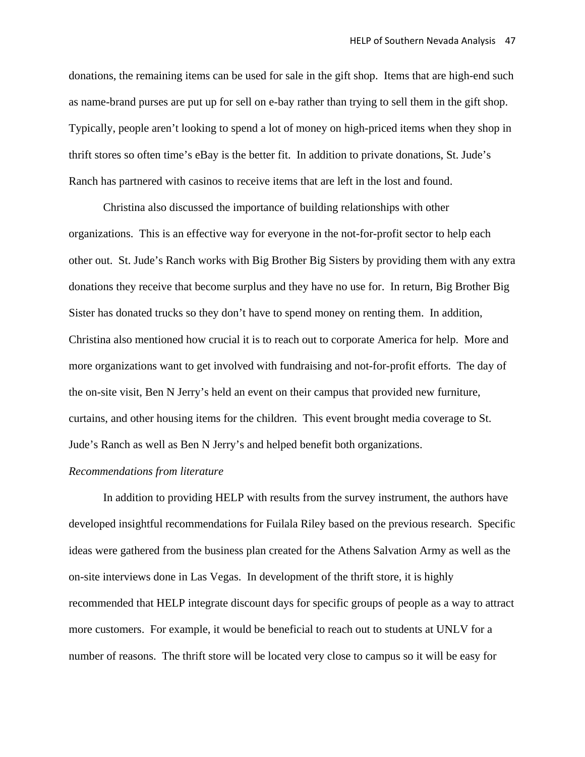donations, the remaining items can be used for sale in the gift shop. Items that are high-end such as name-brand purses are put up for sell on e-bay rather than trying to sell them in the gift shop. Typically, people aren't looking to spend a lot of money on high-priced items when they shop in thrift stores so often time's eBay is the better fit. In addition to private donations, St. Jude's Ranch has partnered with casinos to receive items that are left in the lost and found.

 Christina also discussed the importance of building relationships with other organizations. This is an effective way for everyone in the not-for-profit sector to help each other out. St. Jude's Ranch works with Big Brother Big Sisters by providing them with any extra donations they receive that become surplus and they have no use for. In return, Big Brother Big Sister has donated trucks so they don't have to spend money on renting them. In addition, Christina also mentioned how crucial it is to reach out to corporate America for help. More and more organizations want to get involved with fundraising and not-for-profit efforts. The day of the on-site visit, Ben N Jerry's held an event on their campus that provided new furniture, curtains, and other housing items for the children. This event brought media coverage to St. Jude's Ranch as well as Ben N Jerry's and helped benefit both organizations.

#### *Recommendations from literature*

 In addition to providing HELP with results from the survey instrument, the authors have developed insightful recommendations for Fuilala Riley based on the previous research. Specific ideas were gathered from the business plan created for the Athens Salvation Army as well as the on-site interviews done in Las Vegas. In development of the thrift store, it is highly recommended that HELP integrate discount days for specific groups of people as a way to attract more customers. For example, it would be beneficial to reach out to students at UNLV for a number of reasons. The thrift store will be located very close to campus so it will be easy for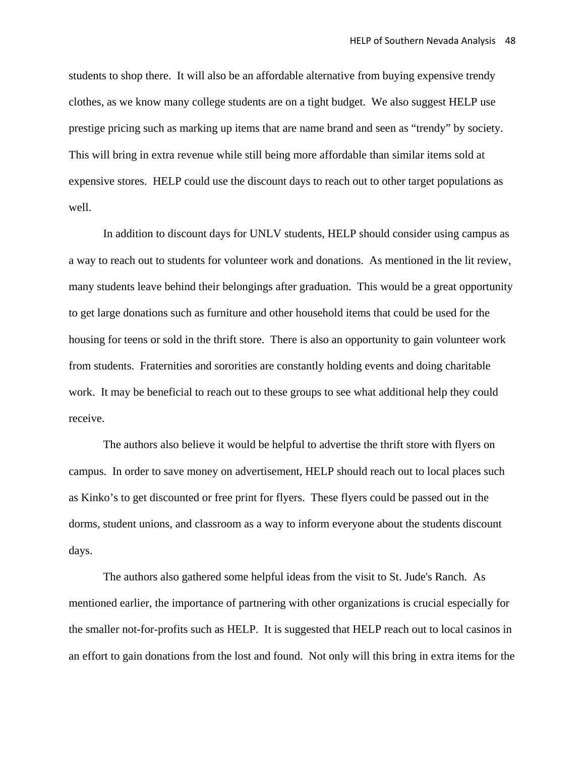students to shop there. It will also be an affordable alternative from buying expensive trendy clothes, as we know many college students are on a tight budget. We also suggest HELP use prestige pricing such as marking up items that are name brand and seen as "trendy" by society. This will bring in extra revenue while still being more affordable than similar items sold at expensive stores. HELP could use the discount days to reach out to other target populations as well.

 In addition to discount days for UNLV students, HELP should consider using campus as a way to reach out to students for volunteer work and donations. As mentioned in the lit review, many students leave behind their belongings after graduation. This would be a great opportunity to get large donations such as furniture and other household items that could be used for the housing for teens or sold in the thrift store. There is also an opportunity to gain volunteer work from students. Fraternities and sororities are constantly holding events and doing charitable work. It may be beneficial to reach out to these groups to see what additional help they could receive.

 The authors also believe it would be helpful to advertise the thrift store with flyers on campus. In order to save money on advertisement, HELP should reach out to local places such as Kinko's to get discounted or free print for flyers. These flyers could be passed out in the dorms, student unions, and classroom as a way to inform everyone about the students discount days.

 The authors also gathered some helpful ideas from the visit to St. Jude's Ranch. As mentioned earlier, the importance of partnering with other organizations is crucial especially for the smaller not-for-profits such as HELP. It is suggested that HELP reach out to local casinos in an effort to gain donations from the lost and found. Not only will this bring in extra items for the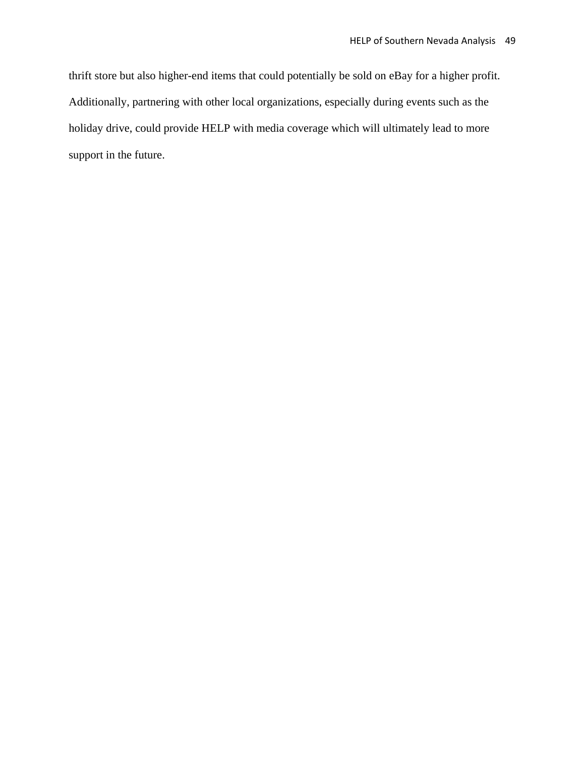thrift store but also higher-end items that could potentially be sold on eBay for a higher profit. Additionally, partnering with other local organizations, especially during events such as the holiday drive, could provide HELP with media coverage which will ultimately lead to more support in the future.